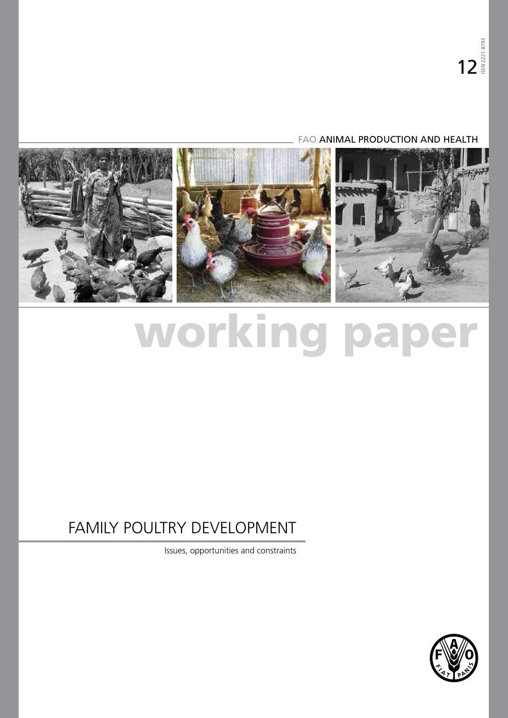# FAO ANIMAL PRODUCTION AND HEALTH

<span id="page-0-0"></span>

# working paper

# FAMILY POULTRY DEVELOPMENT

Issues, opportunities and constraints

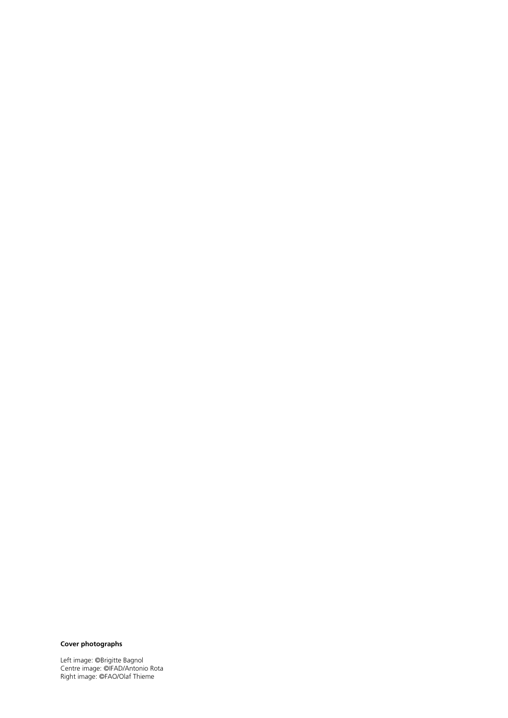## **Cover photographs**

Left image: ©Brigitte Bagnol Centre image: ©IFAD/Antonio Rota Right image: ©FAO/Olaf Thieme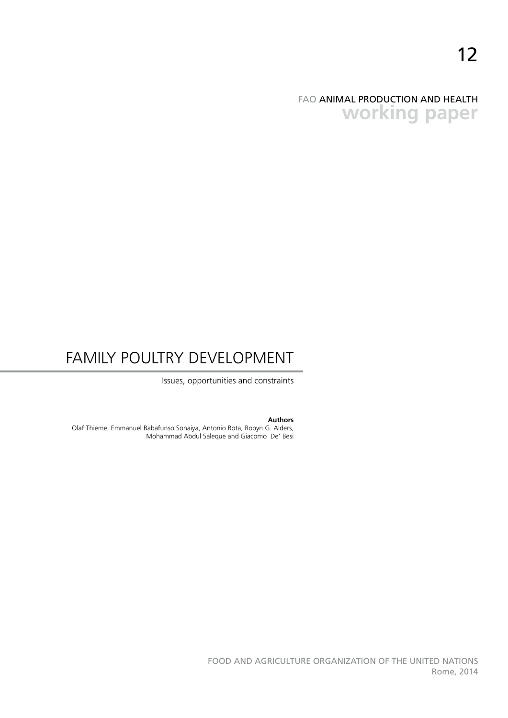# FAO ANIMAL PRODUCTION AND HEALTH **working paper**

# FAMILY POULTRY DEVELOPMENT

Issues, opportunities and constraints

#### **Authors**

Olaf Thieme, Emmanuel Babafunso Sonaiya, Antonio Rota, Robyn G. Alders, Mohammad Abdul Saleque and Giacomo De' Besi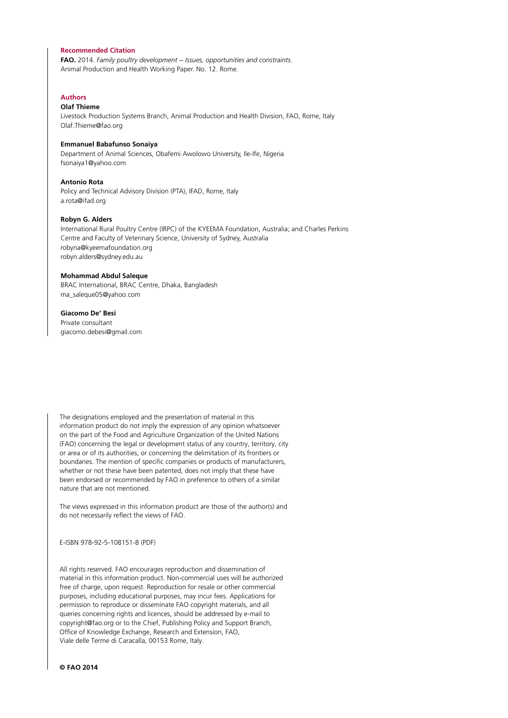#### **Recommended Citation**

**FAO.** 2014. *Family poultry development − Issues, opportunities and constraints.*  Animal Production and Health Working Paper. No. 12. Rome.

#### **Authors**

#### **Olaf Thieme**

Livestock Production Systems Branch, Animal Production and Health Division, FAO, Rome, Italy Olaf.Thieme@fao.org

#### **Emmanuel Babafunso Sonaiya**

Department of Animal Sciences, Obafemi Awolowo University, Ile-Ife, Nigeria fsonaiya1@yahoo.com

#### **Antonio Rota**

Policy and Technical Advisory Division (PTA), IFAD, Rome, Italy a.rota@ifad.org

#### **Robyn G. Alders**

International Rural Poultry Centre (IRPC) of the KYEEMA Foundation, Australia; and Charles Perkins Centre and Faculty of Veterinary Science, University of Sydney, Australia robyna@kyeemafoundation.org robyn.alders@sydney.edu.au

#### **Mohammad Abdul Saleque**

BRAC International, BRAC Centre, Dhaka, Bangladesh ma\_saleque05@yahoo.com

#### **Giacomo De' Besi**

Private consultant giacomo.debesi@gmail.com

The designations employed and the presentation of material in this information product do not imply the expression of any opinion whatsoever on the part of the Food and Agriculture Organization of the United Nations (FAO) concerning the legal or development status of any country, territory, city or area or of its authorities, or concerning the delimitation of its frontiers or boundaries. The mention of specific companies or products of manufacturers, whether or not these have been patented, does not imply that these have been endorsed or recommended by FAO in preference to others of a similar nature that are not mentioned.

The views expressed in this information product are those of the author(s) and do not necessarily reflect the views of FAO.

E-ISBN 978-92-5-108151-8 (PDF)

All rights reserved. FAO encourages reproduction and dissemination of material in this information product. Non-commercial uses will be authorized free of charge, upon request. Reproduction for resale or other commercial purposes, including educational purposes, may incur fees. Applications for permission to reproduce or disseminate FAO copyright materials, and all queries concerning rights and licences, should be addressed by e-mail to copyright@fao.org or to the Chief, Publishing Policy and Support Branch, Office of Knowledge Exchange, Research and Extension, FAO, Viale delle Terme di Caracalla, 00153 Rome, Italy.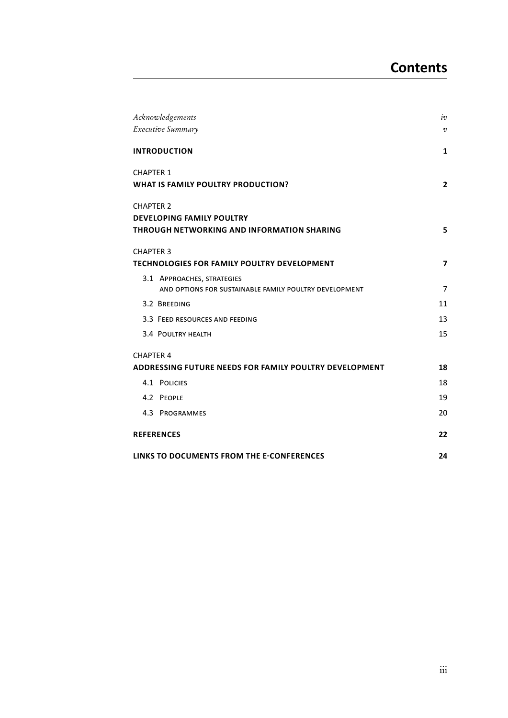| Acknowledgements                                              | iv                      |
|---------------------------------------------------------------|-------------------------|
| Executive Summary                                             | V                       |
| <b>INTRODUCTION</b>                                           | 1                       |
| <b>CHAPTER 1</b><br>WHAT IS FAMILY POULTRY PRODUCTION?        | $\mathbf{2}$            |
| <b>CHAPTER 2</b>                                              |                         |
| <b>DEVELOPING FAMILY POULTRY</b>                              |                         |
| <b>THROUGH NETWORKING AND INFORMATION SHARING</b>             | 5                       |
| <b>CHAPTER 3</b>                                              |                         |
| <b>TECHNOLOGIES FOR FAMILY POULTRY DEVELOPMENT</b>            | $\overline{\mathbf{z}}$ |
| 3.1 APPROACHES, STRATEGIES                                    |                         |
| AND OPTIONS FOR SUSTAINABLE FAMILY POULTRY DEVELOPMENT        | $\overline{7}$          |
| 3.2 BREEDING                                                  | 11                      |
| 3.3 FEED RESOURCES AND FEEDING                                | 13                      |
| 3.4 POULTRY HEALTH                                            | 15                      |
| <b>CHAPTER 4</b>                                              |                         |
| <b>ADDRESSING FUTURE NEEDS FOR FAMILY POULTRY DEVELOPMENT</b> | 18                      |
| 4.1 POLICIES                                                  | 18                      |
| 4.2 PEOPLE                                                    | 19                      |
| 4.3 PROGRAMMES                                                | 20                      |
| <b>REFERENCES</b>                                             | 22                      |
| LINKS TO DOCUMENTS FROM THE E-CONFERENCES                     | 24                      |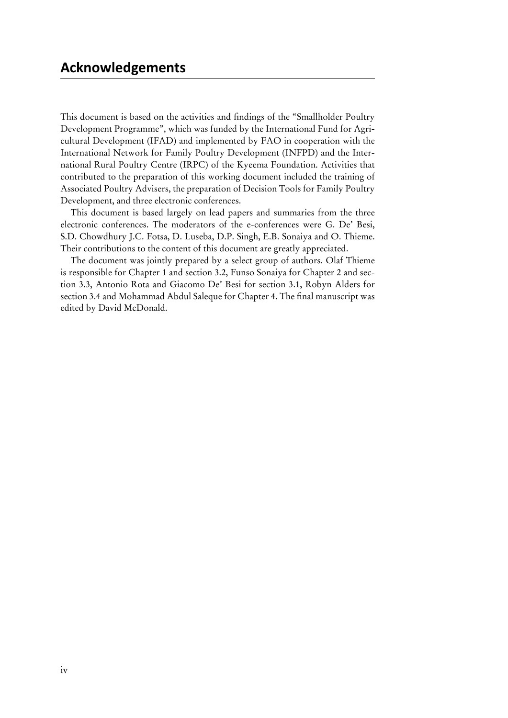<span id="page-5-0"></span>This document is based on the activities and findings of the "Smallholder Poultry Development Programme", which was funded by the International Fund for Agricultural Development (IFAD) and implemented by FAO in cooperation with the International Network for Family Poultry Development (INFPD) and the International Rural Poultry Centre (IRPC) of the Kyeema Foundation. Activities that contributed to the preparation of this working document included the training of Associated Poultry Advisers, the preparation of Decision Tools for Family Poultry Development, and three electronic conferences.

This document is based largely on lead papers and summaries from the three electronic conferences. The moderators of the e-conferences were G. De' Besi, S.D. Chowdhury J.C. Fotsa, D. Luseba, D.P. Singh, E.B. Sonaiya and O. Thieme. Their contributions to the content of this document are greatly appreciated.

The document was jointly prepared by a select group of authors. Olaf Thieme is responsible for Chapter 1 and section 3.2, Funso Sonaiya for Chapter 2 and section 3.3, Antonio Rota and Giacomo De' Besi for section 3.1, Robyn Alders for section 3.4 and Mohammad Abdul Saleque for Chapter 4. The final manuscript was edited by David McDonald.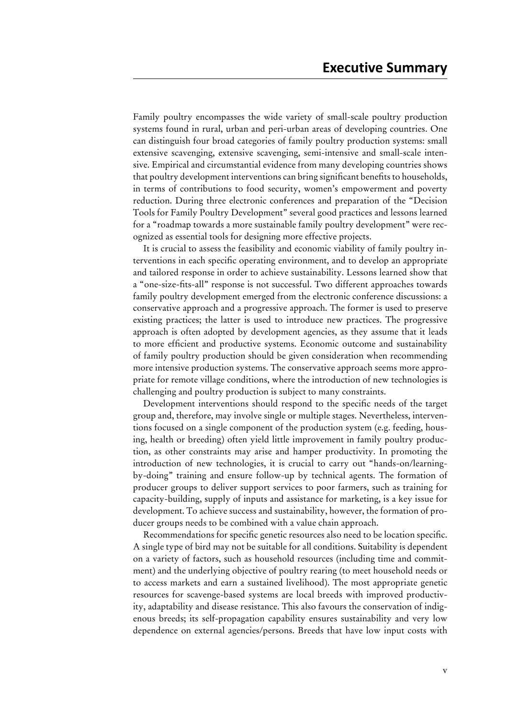<span id="page-6-0"></span>Family poultry encompasses the wide variety of small-scale poultry production systems found in rural, urban and peri-urban areas of developing countries. One can distinguish four broad categories of family poultry production systems: small extensive scavenging, extensive scavenging, semi-intensive and small-scale intensive. Empirical and circumstantial evidence from many developing countries shows that poultry development interventions can bring significant benefits to households, in terms of contributions to food security, women's empowerment and poverty reduction. During three electronic conferences and preparation of the "Decision Tools for Family Poultry Development" several good practices and lessons learned for a "roadmap towards a more sustainable family poultry development" were recognized as essential tools for designing more effective projects.

It is crucial to assess the feasibility and economic viability of family poultry interventions in each specific operating environment, and to develop an appropriate and tailored response in order to achieve sustainability. Lessons learned show that a "one-size-fits-all" response is not successful. Two different approaches towards family poultry development emerged from the electronic conference discussions: a conservative approach and a progressive approach. The former is used to preserve existing practices; the latter is used to introduce new practices. The progressive approach is often adopted by development agencies, as they assume that it leads to more efficient and productive systems. Economic outcome and sustainability of family poultry production should be given consideration when recommending more intensive production systems. The conservative approach seems more appropriate for remote village conditions, where the introduction of new technologies is challenging and poultry production is subject to many constraints.

Development interventions should respond to the specific needs of the target group and, therefore, may involve single or multiple stages. Nevertheless, interventions focused on a single component of the production system (e.g. feeding, housing, health or breeding) often yield little improvement in family poultry production, as other constraints may arise and hamper productivity. In promoting the introduction of new technologies, it is crucial to carry out "hands-on/learningby-doing" training and ensure follow-up by technical agents. The formation of producer groups to deliver support services to poor farmers, such as training for capacity-building, supply of inputs and assistance for marketing, is a key issue for development. To achieve success and sustainability, however, the formation of producer groups needs to be combined with a value chain approach.

Recommendations for specific genetic resources also need to be location specific. A single type of bird may not be suitable for all conditions. Suitability is dependent on a variety of factors, such as household resources (including time and commitment) and the underlying objective of poultry rearing (to meet household needs or to access markets and earn a sustained livelihood). The most appropriate genetic resources for scavenge-based systems are local breeds with improved productivity, adaptability and disease resistance. This also favours the conservation of indigenous breeds; its self-propagation capability ensures sustainability and very low dependence on external agencies/persons. Breeds that have low input costs with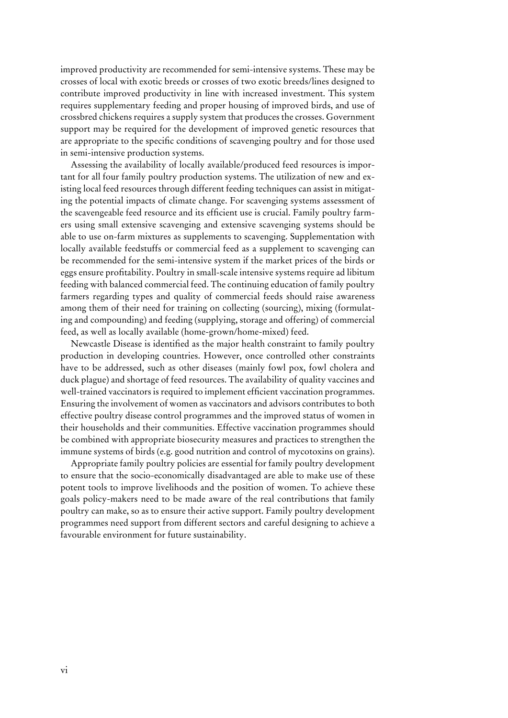improved productivity are recommended for semi-intensive systems. These may be crosses of local with exotic breeds or crosses of two exotic breeds/lines designed to contribute improved productivity in line with increased investment. This system requires supplementary feeding and proper housing of improved birds, and use of crossbred chickens requires a supply system that produces the crosses. Government support may be required for the development of improved genetic resources that are appropriate to the specific conditions of scavenging poultry and for those used in semi-intensive production systems.

Assessing the availability of locally available/produced feed resources is important for all four family poultry production systems. The utilization of new and existing local feed resources through different feeding techniques can assist in mitigating the potential impacts of climate change. For scavenging systems assessment of the scavengeable feed resource and its efficient use is crucial. Family poultry farmers using small extensive scavenging and extensive scavenging systems should be able to use on-farm mixtures as supplements to scavenging. Supplementation with locally available feedstuffs or commercial feed as a supplement to scavenging can be recommended for the semi-intensive system if the market prices of the birds or eggs ensure profitability. Poultry in small-scale intensive systems require ad libitum feeding with balanced commercial feed. The continuing education of family poultry farmers regarding types and quality of commercial feeds should raise awareness among them of their need for training on collecting (sourcing), mixing (formulating and compounding) and feeding (supplying, storage and offering) of commercial feed, as well as locally available (home-grown/home-mixed) feed.

Newcastle Disease is identified as the major health constraint to family poultry production in developing countries. However, once controlled other constraints have to be addressed, such as other diseases (mainly fowl pox, fowl cholera and duck plague) and shortage of feed resources. The availability of quality vaccines and well-trained vaccinators is required to implement efficient vaccination programmes. Ensuring the involvement of women as vaccinators and advisors contributes to both effective poultry disease control programmes and the improved status of women in their households and their communities. Effective vaccination programmes should be combined with appropriate biosecurity measures and practices to strengthen the immune systems of birds (e.g. good nutrition and control of mycotoxins on grains).

Appropriate family poultry policies are essential for family poultry development to ensure that the socio-economically disadvantaged are able to make use of these potent tools to improve livelihoods and the position of women. To achieve these goals policy-makers need to be made aware of the real contributions that family poultry can make, so as to ensure their active support. Family poultry development programmes need support from different sectors and careful designing to achieve a favourable environment for future sustainability.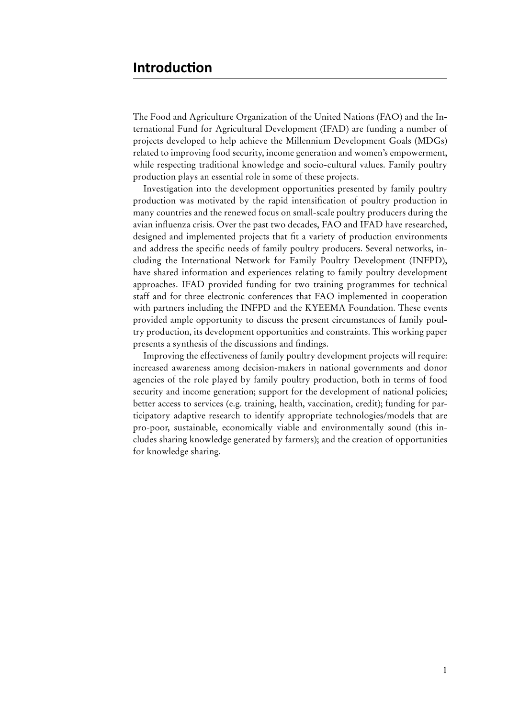The Food and Agriculture Organization of the United Nations (FAO) and the International Fund for Agricultural Development (IFAD) are funding a number of projects developed to help achieve the Millennium Development Goals (MDGs) related to improving food security, income generation and women's empowerment, while respecting traditional knowledge and socio-cultural values. Family poultry production plays an essential role in some of these projects.

Investigation into the development opportunities presented by family poultry production was motivated by the rapid intensification of poultry production in many countries and the renewed focus on small-scale poultry producers during the avian influenza crisis. Over the past two decades, FAO and IFAD have researched, designed and implemented projects that fit a variety of production environments and address the specific needs of family poultry producers. Several networks, including the International Network for Family Poultry Development (INFPD), have shared information and experiences relating to family poultry development approaches. IFAD provided funding for two training programmes for technical staff and for three electronic conferences that FAO implemented in cooperation with partners including the INFPD and the KYEEMA Foundation. These events provided ample opportunity to discuss the present circumstances of family poultry production, its development opportunities and constraints. This working paper presents a synthesis of the discussions and findings.

Improving the effectiveness of family poultry development projects will require: increased awareness among decision-makers in national governments and donor agencies of the role played by family poultry production, both in terms of food security and income generation; support for the development of national policies; better access to services (e.g. training, health, vaccination, credit); funding for participatory adaptive research to identify appropriate technologies/models that are pro-poor, sustainable, economically viable and environmentally sound (this includes sharing knowledge generated by farmers); and the creation of opportunities for knowledge sharing.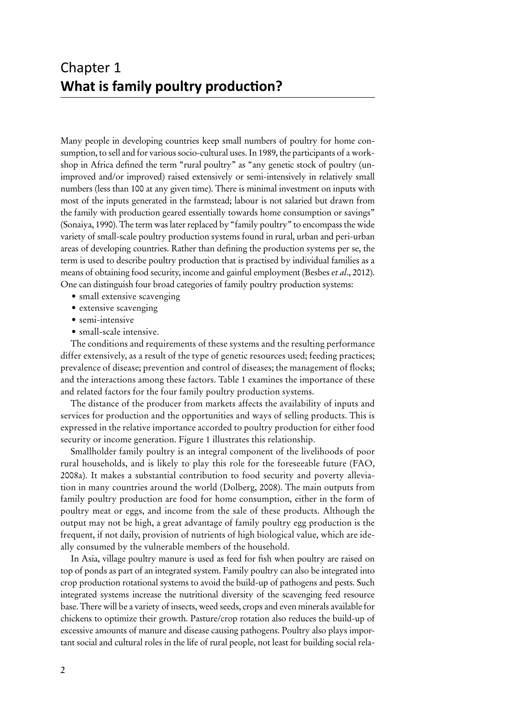Many people in developing countries keep small numbers of poultry for home consumption, to sell and for various socio-cultural uses. In 1989, the participants of a workshop in Africa defined the term "rural poultry" as "any genetic stock of poultry (unimproved and/or improved) raised extensively or semi-intensively in relatively small numbers (less than 100 at any given time). There is minimal investment on inputs with most of the inputs generated in the farmstead; labour is not salaried but drawn from the family with production geared essentially towards home consumption or savings" (Sonaiya, 1990). The term was later replaced by "family poultry" to encompass the wide variety of small-scale poultry production systems found in rural, urban and peri-urban areas of developing countries. Rather than defining the production systems per se, the term is used to describe poultry production that is practised by individual families as a means of obtaining food security, income and gainful employment (Besbes *et al*., 2012). One can distinguish four broad categories of family poultry production systems:

- small extensive scavenging
- extensive scavenging
- semi-intensive
- small-scale intensive.

The conditions and requirements of these systems and the resulting performance differ extensively, as a result of the type of genetic resources used; feeding practices; prevalence of disease; prevention and control of diseases; the management of flocks; and the interactions among these factors. Table 1 examines the importance of these and related factors for the four family poultry production systems.

The distance of the producer from markets affects the availability of inputs and services for production and the opportunities and ways of selling products. This is expressed in the relative importance accorded to poultry production for either food security or income generation. Figure 1 illustrates this relationship.

Smallholder family poultry is an integral component of the livelihoods of poor rural households, and is likely to play this role for the foreseeable future (FAO, 2008a). It makes a substantial contribution to food security and poverty alleviation in many countries around the world (Dolberg, 2008). The main outputs from family poultry production are food for home consumption, either in the form of poultry meat or eggs, and income from the sale of these products. Although the output may not be high, a great advantage of family poultry egg production is the frequent, if not daily, provision of nutrients of high biological value, which are ideally consumed by the vulnerable members of the household.

In Asia, village poultry manure is used as feed for fish when poultry are raised on top of ponds as part of an integrated system. Family poultry can also be integrated into crop production rotational systems to avoid the build-up of pathogens and pests. Such integrated systems increase the nutritional diversity of the scavenging feed resource base. There will be a variety of insects, weed seeds, crops and even minerals available for chickens to optimize their growth. Pasture/crop rotation also reduces the build-up of excessive amounts of manure and disease causing pathogens. Poultry also plays important social and cultural roles in the life of rural people, not least for building social rela-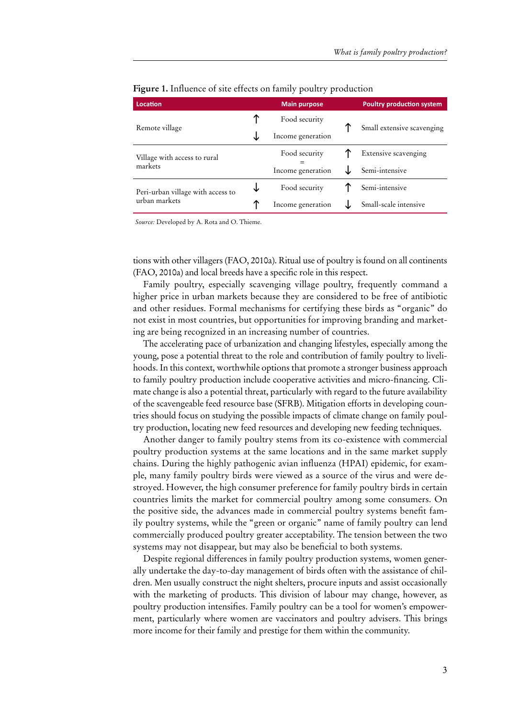| Location                          |     | <b>Main purpose</b><br><b>Poultry production system</b> |  |                            |  |
|-----------------------------------|-----|---------------------------------------------------------|--|----------------------------|--|
| Remote village                    | ↑   | Food security                                           |  | Small extensive scavenging |  |
|                                   |     | Income generation                                       |  |                            |  |
| Village with access to rural      |     | Food security                                           |  | Extensive scavenging       |  |
| markets                           |     | Income generation                                       |  | Semi-intensive             |  |
| Peri-urban village with access to |     | Food security                                           |  | Semi-intensive             |  |
| urban markets                     | ́́∩ | Income generation                                       |  | Small-scale intensive      |  |

#### **Figure 1.** Influence of site effects on family poultry production

*Source:* Developed by A. Rota and O. Thieme.

tions with other villagers (FAO, 2010a). Ritual use of poultry is found on all continents (FAO, 2010a) and local breeds have a specific role in this respect.

Family poultry, especially scavenging village poultry, frequently command a higher price in urban markets because they are considered to be free of antibiotic and other residues. Formal mechanisms for certifying these birds as "organic" do not exist in most countries, but opportunities for improving branding and marketing are being recognized in an increasing number of countries.

The accelerating pace of urbanization and changing lifestyles, especially among the young, pose a potential threat to the role and contribution of family poultry to livelihoods. In this context, worthwhile options that promote a stronger business approach to family poultry production include cooperative activities and micro-financing. Climate change is also a potential threat, particularly with regard to the future availability of the scavengeable feed resource base (SFRB). Mitigation efforts in developing countries should focus on studying the possible impacts of climate change on family poultry production, locating new feed resources and developing new feeding techniques.

Another danger to family poultry stems from its co-existence with commercial poultry production systems at the same locations and in the same market supply chains. During the highly pathogenic avian influenza (HPAI) epidemic, for example, many family poultry birds were viewed as a source of the virus and were destroyed. However, the high consumer preference for family poultry birds in certain countries limits the market for commercial poultry among some consumers. On the positive side, the advances made in commercial poultry systems benefit family poultry systems, while the "green or organic" name of family poultry can lend commercially produced poultry greater acceptability. The tension between the two systems may not disappear, but may also be beneficial to both systems.

Despite regional differences in family poultry production systems, women generally undertake the day-to-day management of birds often with the assistance of children. Men usually construct the night shelters, procure inputs and assist occasionally with the marketing of products. This division of labour may change, however, as poultry production intensifies. Family poultry can be a tool for women's empowerment, particularly where women are vaccinators and poultry advisers. This brings more income for their family and prestige for them within the community.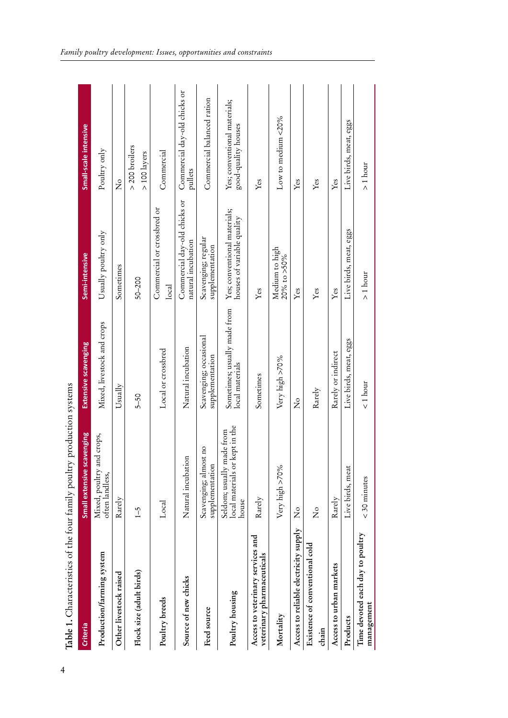| Table 1. Characteristics of the four family poultry production systems |                                                                         |                                                 |                                                            |                                                     |
|------------------------------------------------------------------------|-------------------------------------------------------------------------|-------------------------------------------------|------------------------------------------------------------|-----------------------------------------------------|
| Criteria                                                               | Small extensive scavenging                                              | <b>Extensive scavenging</b>                     | Semi-intensive                                             | Small-scale intensive                               |
| Production/farming system                                              | Mixed, poultry and crops,<br>often landless,                            | Mixed, livestock and crops                      | Usually poultry only                                       | Poultry only                                        |
| Other livestock raised                                                 | Rarely                                                                  | Usually                                         | Sometimes                                                  | ž                                                   |
| Flock size (adult birds)                                               | $\overline{1}$ -5                                                       | $5 - 50$                                        | $50 - 200$                                                 | $>$ 200 broilers<br>> 100 layers                    |
| Poultry breeds                                                         | Local                                                                   | Local or crossbred                              | Commercial or crossbred or<br>$_{\rm local}$               | Commercial                                          |
| Source of new chicks                                                   | Natural incubation                                                      | Natural incubation                              | Commercial day-old chicks or<br>natural incubation         | Commercial day-old chicks or<br>oullets             |
| Feed source                                                            | Scavenging; almost no<br>supplementation                                | Scavenging; occasional<br>supplementation       | Scavenging; regular<br>supplementation                     | Commercial balanced ration                          |
| Poultry housing                                                        | kept in the<br>Seldom; usually made from<br>local materials or<br>house | Sometimes; usually made from<br>local materials | Yes; conventional materials;<br>houses of variable quality | Yes; conventional materials;<br>good-quality houses |
| Access to veterinary services and<br>veterinary pharmaceuticals        | Rarely                                                                  | Sometimes                                       | Yes                                                        | Yes                                                 |
| Mortality                                                              | Very high >70%                                                          | Very high >70%                                  | Medium to high<br>$20\%$ to $>50\%$                        | Low to medium <20%                                  |
| Access to reliable electricity supply                                  | $\mathsf{z}^{\circ}$                                                    | $\mathsf{\overset{\circ}{z}}$                   | Yes                                                        | Yes                                                 |
| Existence of conventional cold<br>chain                                | $\overline{z}$                                                          | Rarely                                          | Yes                                                        | Yes                                                 |
| Access to urban markets                                                | Rarely                                                                  | Rarely or indirect                              | Yes                                                        | Yes                                                 |
| Products                                                               | Live birds, meat                                                        | Live birds, meat, eggs                          | Live birds, meat, eggs                                     | Live birds, meat, eggs                              |
| Time devoted each day to poultry<br>management                         | $<$ 30 minutes                                                          | $1$ hour                                        | $> 1$ hour                                                 | $> 1$ hour                                          |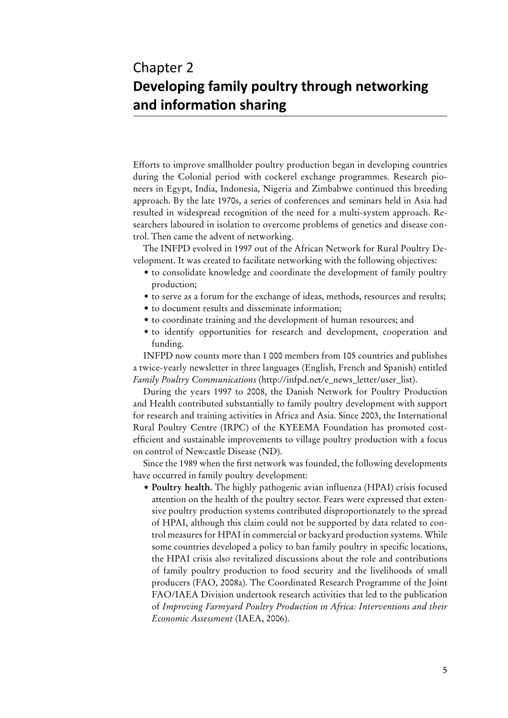# Chapter 2 **Developing family poultry through networking and information sharing**

Efforts to improve smallholder poultry production began in developing countries during the Colonial period with cockerel exchange programmes. Research pioneers in Egypt, India, Indonesia, Nigeria and Zimbabwe continued this breeding approach. By the late 1970s, a series of conferences and seminars held in Asia had resulted in widespread recognition of the need for a multi-system approach. Researchers laboured in isolation to overcome problems of genetics and disease control. Then came the advent of networking.

The INFPD evolved in 1997 out of the African Network for Rural Poultry Development. It was created to facilitate networking with the following objectives:

- to consolidate knowledge and coordinate the development of family poultry production;
- to serve as a forum for the exchange of ideas, methods, resources and results;
- to document results and disseminate information;
- to coordinate training and the development of human resources; and
- • to identify opportunities for research and development, cooperation and funding.

INFPD now counts more than 1 000 members from 105 countries and publishes a twice-yearly newsletter in three languages (English, French and Spanish) entitled *Family Poultry Communications* ([http://infpd.net/e\\_news\\_letter/user\\_list](http://infpd.net/e_news_letter/user_list)).

During the years 1997 to 2008, the Danish Network for Poultry Production and Health contributed substantially to family poultry development with support for research and training activities in Africa and Asia. Since 2003, the International Rural Poultry Centre (IRPC) of the KYEEMA Foundation has promoted costefficient and sustainable improvements to village poultry production with a focus on control of Newcastle Disease (ND).

Since the 1989 when the first network was founded, the following developments have occurred in family poultry development:

• **Poultry health.** The highly pathogenic avian influenza (HPAI) crisis focused attention on the health of the poultry sector. Fears were expressed that extensive poultry production systems contributed disproportionately to the spread of HPAI, although this claim could not be supported by data related to control measures for HPAI in commercial or backyard production systems. While some countries developed a policy to ban family poultry in specific locations, the HPAI crisis also revitalized discussions about the role and contributions of family poultry production to food security and the livelihoods of small producers (FAO, 2008a). The Coordinated Research Programme of the Joint FAO/IAEA Division undertook research activities that led to the publication of *Improving Farmyard Poultry Production in Africa: Interventions and their Economic Assessment* (IAEA, 2006).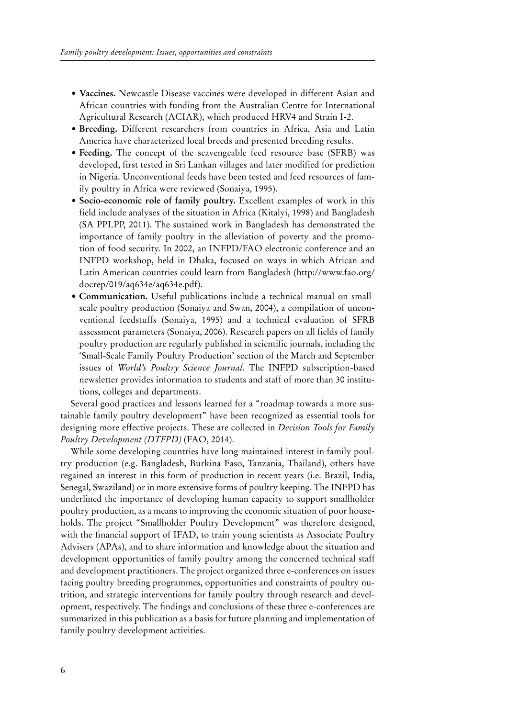- **• Vaccines.** Newcastle Disease vaccines were developed in different Asian and African countries with funding from the Australian Centre for International Agricultural Research (ACIAR), which produced HRV4 and Strain I-2.
- **• Breeding.** Different researchers from countries in Africa, Asia and Latin America have characterized local breeds and presented breeding results.
- Feeding. The concept of the scavengeable feed resource base (SFRB) was developed, first tested in Sri Lankan villages and later modified for prediction in Nigeria. Unconventional feeds have been tested and feed resources of family poultry in Africa were reviewed (Sonaiya, 1995).
- **• Socio-economic role of family poultry.** Excellent examples of work in this field include analyses of the situation in Africa (Kitalyi, 1998) and Bangladesh (SA PPLPP, 2011). The sustained work in Bangladesh has demonstrated the importance of family poultry in the alleviation of poverty and the promotion of food security. In 2002, an INFPD/FAO electronic conference and an INFPD workshop, held in Dhaka, focused on ways in which African and Latin American countries could learn from Bangladesh ([http://www.fao.org/](http://www.fao.org/docrep/019/aq634e/aq634e.pdf) [docrep/019/aq634e/aq634e.pdf](http://www.fao.org/docrep/019/aq634e/aq634e.pdf)).
- **• Communication.** Useful publications include a technical manual on smallscale poultry production (Sonaiya and Swan, 2004), a compilation of unconventional feedstuffs (Sonaiya, 1995) and a technical evaluation of SFRB assessment parameters (Sonaiya, 2006). Research papers on all fields of family poultry production are regularly published in scientific journals, including the 'Small-Scale Family Poultry Production' section of the March and September issues of *World's Poultry Science Journal*. The INFPD subscription-based newsletter provides information to students and staff of more than 30 institutions, colleges and departments.

Several good practices and lessons learned for a "roadmap towards a more sustainable family poultry development" have been recognized as essential tools for designing more effective projects. These are collected in *Decision Tools for Family Poultry Development (DTFPD)* (FAO, 2014).

While some developing countries have long maintained interest in family poultry production (e.g. Bangladesh, Burkina Faso, Tanzania, Thailand), others have regained an interest in this form of production in recent years (i.e. Brazil, India, Senegal, Swaziland) or in more extensive forms of poultry keeping. The INFPD has underlined the importance of developing human capacity to support smallholder poultry production, as a means to improving the economic situation of poor households. The project "Smallholder Poultry Development" was therefore designed, with the financial support of IFAD, to train young scientists as Associate Poultry Advisers (APAs), and to share information and knowledge about the situation and development opportunities of family poultry among the concerned technical staff and development practitioners. The project organized three e-conferences on issues facing poultry breeding programmes, opportunities and constraints of poultry nutrition, and strategic interventions for family poultry through research and development, respectively. The findings and conclusions of these three e-conferences are summarized in this publication as a basis for future planning and implementation of family poultry development activities.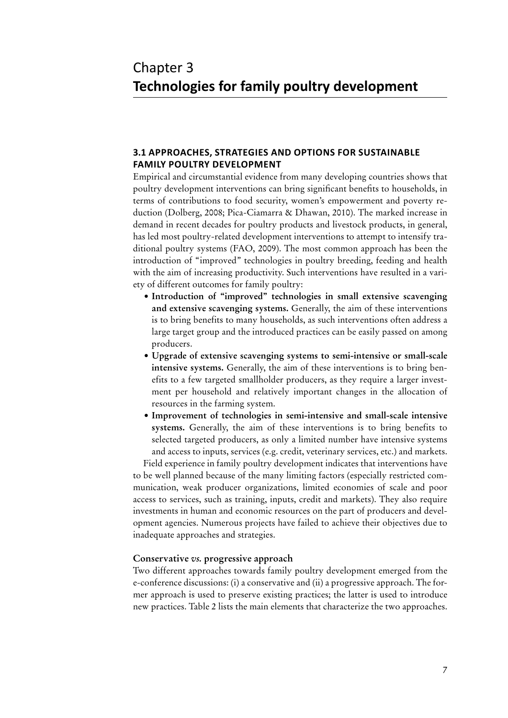# Chapter 3 **Technologies for family poultry development**

# **3.1 Approaches, strategies and options for sustainable family poultry development**

Empirical and circumstantial evidence from many developing countries shows that poultry development interventions can bring significant benefits to households, in terms of contributions to food security, women's empowerment and poverty reduction (Dolberg, 2008; Pica-Ciamarra & Dhawan, 2010). The marked increase in demand in recent decades for poultry products and livestock products, in general, has led most poultry-related development interventions to attempt to intensify traditional poultry systems (FAO, 2009). The most common approach has been the introduction of "improved" technologies in poultry breeding, feeding and health with the aim of increasing productivity. Such interventions have resulted in a variety of different outcomes for family poultry:

- **• Introduction of "improved" technologies in small extensive scavenging and extensive scavenging systems.** Generally, the aim of these interventions is to bring benefits to many households, as such interventions often address a large target group and the introduced practices can be easily passed on among producers.
- **• Upgrade of extensive scavenging systems to semi-intensive or small-scale intensive systems.** Generally, the aim of these interventions is to bring benefits to a few targeted smallholder producers, as they require a larger investment per household and relatively important changes in the allocation of resources in the farming system.
- **• Improvement of technologies in semi-intensive and small-scale intensive systems.** Generally, the aim of these interventions is to bring benefits to selected targeted producers, as only a limited number have intensive systems and access to inputs, services (e.g. credit, veterinary services, etc.) and markets.

Field experience in family poultry development indicates that interventions have to be well planned because of the many limiting factors (especially restricted communication, weak producer organizations, limited economies of scale and poor access to services, such as training, inputs, credit and markets). They also require investments in human and economic resources on the part of producers and development agencies. Numerous projects have failed to achieve their objectives due to inadequate approaches and strategies.

#### **Conservative** *vs.* **progressive approach**

Two different approaches towards family poultry development emerged from the e-conference discussions: (i) a conservative and (ii) a progressive approach. The former approach is used to preserve existing practices; the latter is used to introduce new practices. Table 2 lists the main elements that characterize the two approaches.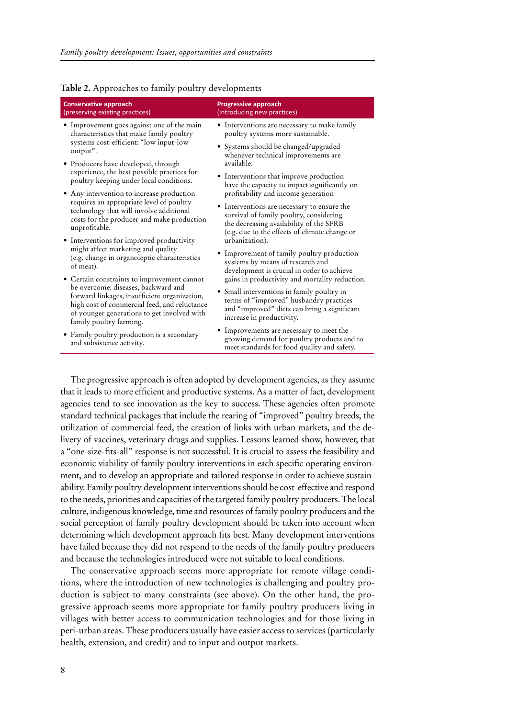| T T                                                                                                                                                                                                           |                                                                                                                                                                                    |
|---------------------------------------------------------------------------------------------------------------------------------------------------------------------------------------------------------------|------------------------------------------------------------------------------------------------------------------------------------------------------------------------------------|
| <b>Conservative approach</b><br>(preserving existing practices)                                                                                                                                               | <b>Progressive approach</b><br>(introducing new practices)                                                                                                                         |
| · Improvement goes against one of the main<br>characteristics that make family poultry                                                                                                                        | • Interventions are necessary to make family<br>poultry systems more sustainable.                                                                                                  |
| systems cost-efficient: "low input-low<br>output".                                                                                                                                                            | • Systems should be changed/upgraded<br>whenever technical improvements are                                                                                                        |
| • Producers have developed, through                                                                                                                                                                           | available.                                                                                                                                                                         |
| experience, the best possible practices for<br>poultry keeping under local conditions.                                                                                                                        | • Interventions that improve production<br>have the capacity to impact significantly on                                                                                            |
| • Any intervention to increase production                                                                                                                                                                     | profitability and income generation                                                                                                                                                |
| requires an appropriate level of poultry<br>technology that will involve additional<br>costs for the producer and make production<br>unprofitable.                                                            | • Interventions are necessary to ensure the<br>survival of family poultry, considering<br>the decreasing availability of the SFRB<br>(e.g. due to the effects of climate change or |
| • Interventions for improved productivity                                                                                                                                                                     | urbanization).                                                                                                                                                                     |
| might affect marketing and quality<br>(e.g. change in organoleptic characteristics<br>of meat).                                                                                                               | • Improvement of family poultry production<br>systems by means of research and<br>development is crucial in order to achieve                                                       |
| • Certain constraints to improvement cannot                                                                                                                                                                   | gains in productivity and mortality reduction.                                                                                                                                     |
| be overcome: diseases, backward and<br>forward linkages, insufficient organization,<br>high cost of commercial feed, and reluctance<br>of younger generations to get involved with<br>family poultry farming. | • Small interventions in family poultry in<br>terms of "improved" husbandry practices<br>and "improved" diets can bring a significant<br>increase in productivity.                 |
| • Family poultry production is a secondary<br>and subsistence activity.                                                                                                                                       | • Improvements are necessary to meet the<br>growing demand for poultry products and to<br>meet standards for food quality and safety.                                              |

#### **Table 2.** Approaches to family poultry developments

The progressive approach is often adopted by development agencies, as they assume that it leads to more efficient and productive systems. As a matter of fact, development agencies tend to see innovation as the key to success. These agencies often promote standard technical packages that include the rearing of "improved" poultry breeds, the utilization of commercial feed, the creation of links with urban markets, and the delivery of vaccines, veterinary drugs and supplies. Lessons learned show, however, that a "one-size-fits-all" response is not successful. It is crucial to assess the feasibility and economic viability of family poultry interventions in each specific operating environment, and to develop an appropriate and tailored response in order to achieve sustainability. Family poultry development interventions should be cost-effective and respond to the needs, priorities and capacities of the targeted family poultry producers. The local culture, indigenous knowledge, time and resources of family poultry producers and the social perception of family poultry development should be taken into account when determining which development approach fits best. Many development interventions have failed because they did not respond to the needs of the family poultry producers and because the technologies introduced were not suitable to local conditions.

The conservative approach seems more appropriate for remote village conditions, where the introduction of new technologies is challenging and poultry production is subject to many constraints (see above). On the other hand, the progressive approach seems more appropriate for family poultry producers living in villages with better access to communication technologies and for those living in peri-urban areas. These producers usually have easier access to services (particularly health, extension, and credit) and to input and output markets.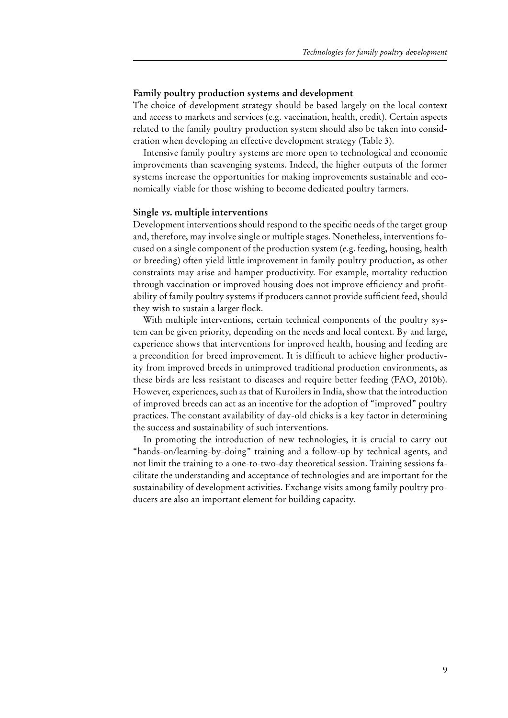## **Family poultry production systems and development**

The choice of development strategy should be based largely on the local context and access to markets and services (e.g. vaccination, health, credit). Certain aspects related to the family poultry production system should also be taken into consideration when developing an effective development strategy (Table 3).

Intensive family poultry systems are more open to technological and economic improvements than scavenging systems. Indeed, the higher outputs of the former systems increase the opportunities for making improvements sustainable and economically viable for those wishing to become dedicated poultry farmers.

#### **Single vs. multiple interventions**

Development interventions should respond to the specific needs of the target group and, therefore, may involve single or multiple stages. Nonetheless, interventions focused on a single component of the production system (e.g. feeding, housing, health or breeding) often yield little improvement in family poultry production, as other constraints may arise and hamper productivity. For example, mortality reduction through vaccination or improved housing does not improve efficiency and profitability of family poultry systems if producers cannot provide sufficient feed, should they wish to sustain a larger flock.

With multiple interventions, certain technical components of the poultry system can be given priority, depending on the needs and local context. By and large, experience shows that interventions for improved health, housing and feeding are a precondition for breed improvement. It is difficult to achieve higher productivity from improved breeds in unimproved traditional production environments, as these birds are less resistant to diseases and require better feeding (FAO, 2010b). However, experiences, such as that of Kuroilers in India, show that the introduction of improved breeds can act as an incentive for the adoption of "improved" poultry practices. The constant availability of day-old chicks is a key factor in determining the success and sustainability of such interventions.

In promoting the introduction of new technologies, it is crucial to carry out "hands-on/learning-by-doing" training and a follow-up by technical agents, and not limit the training to a one-to-two-day theoretical session. Training sessions facilitate the understanding and acceptance of technologies and are important for the sustainability of development activities. Exchange visits among family poultry producers are also an important element for building capacity.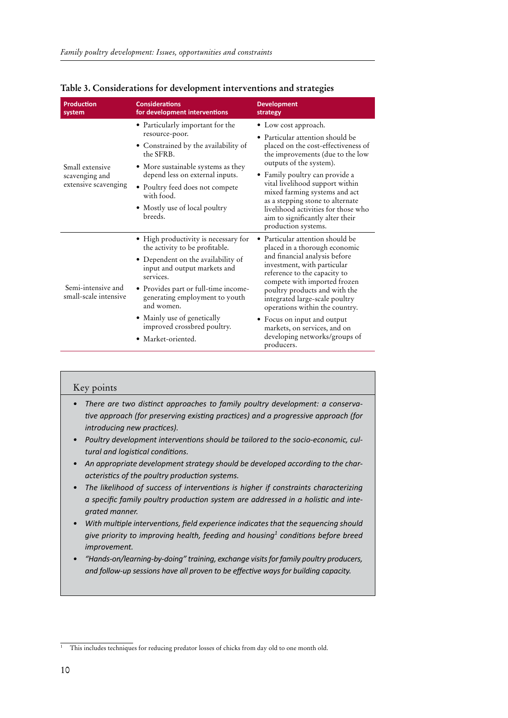| <b>Production</b><br>system                               | <b>Considerations</b><br>for development interventions                                                                                                                                                                                                                                                                                | <b>Development</b><br>strategy                                                                                                                                                                                                                                                                                                                                                                                       |
|-----------------------------------------------------------|---------------------------------------------------------------------------------------------------------------------------------------------------------------------------------------------------------------------------------------------------------------------------------------------------------------------------------------|----------------------------------------------------------------------------------------------------------------------------------------------------------------------------------------------------------------------------------------------------------------------------------------------------------------------------------------------------------------------------------------------------------------------|
| Small extensive<br>scavenging and<br>extensive scavenging | • Particularly important for the<br>resource-poor.<br>• Constrained by the availability of<br>the SFRB.<br>• More sustainable systems as they<br>depend less on external inputs.<br>• Poultry feed does not compete<br>with food.<br>• Mostly use of local poultry<br>breeds.                                                         | • Low cost approach.<br>• Particular attention should be<br>placed on the cost-effectiveness of<br>the improvements (due to the low<br>outputs of the system).<br>• Family poultry can provide a<br>vital livelihood support within<br>mixed farming systems and act<br>as a stepping stone to alternate<br>livelihood activities for those who<br>aim to significantly alter their<br>production systems.           |
| Semi-intensive and<br>small-scale intensive               | • High productivity is necessary for<br>the activity to be profitable.<br>• Dependent on the availability of<br>input and output markets and<br>services.<br>· Provides part or full-time income-<br>generating employment to youth<br>and women.<br>• Mainly use of genetically<br>improved crossbred poultry.<br>• Market-oriented. | • Particular attention should be<br>placed in a thorough economic<br>and financial analysis before<br>investment, with particular<br>reference to the capacity to<br>compete with imported frozen<br>poultry products and with the<br>integrated large-scale poultry<br>operations within the country.<br>• Focus on input and output<br>markets, on services, and on<br>developing networks/groups of<br>producers. |

|  |  | Table 3. Considerations for development interventions and strategies |  |  |
|--|--|----------------------------------------------------------------------|--|--|
|  |  |                                                                      |  |  |

| Key points                                                                                                                                                                                                                                                                                                                                                                                                                                                   |
|--------------------------------------------------------------------------------------------------------------------------------------------------------------------------------------------------------------------------------------------------------------------------------------------------------------------------------------------------------------------------------------------------------------------------------------------------------------|
| There are two distinct approaches to family poultry development: a conserva-<br>tive approach (for preserving existing practices) and a progressive approach (for<br>introducing new practices).<br>Poultry development interventions should be tailored to the socio-economic, cul-<br>tural and logistical conditions.<br>An appropriate development strategy should be developed according to the char-<br>acteristics of the poultry production systems. |
| The likelihood of success of interventions is higher if constraints characterizing<br>a specific family poultry production system are addressed in a holistic and inte-<br>grated manner.                                                                                                                                                                                                                                                                    |
| With multiple interventions, field experience indicates that the sequencing should<br>give priority to improving health, feeding and housing conditions before breed<br><i>improvement.</i>                                                                                                                                                                                                                                                                  |
| "Hands-on/learning-by-doing" training, exchange visits for family poultry producers,<br>and follow-up sessions have all proven to be effective ways for building capacity.                                                                                                                                                                                                                                                                                   |

<sup>&</sup>lt;sup>1</sup> This includes techniques for reducing predator losses of chicks from day old to one month old.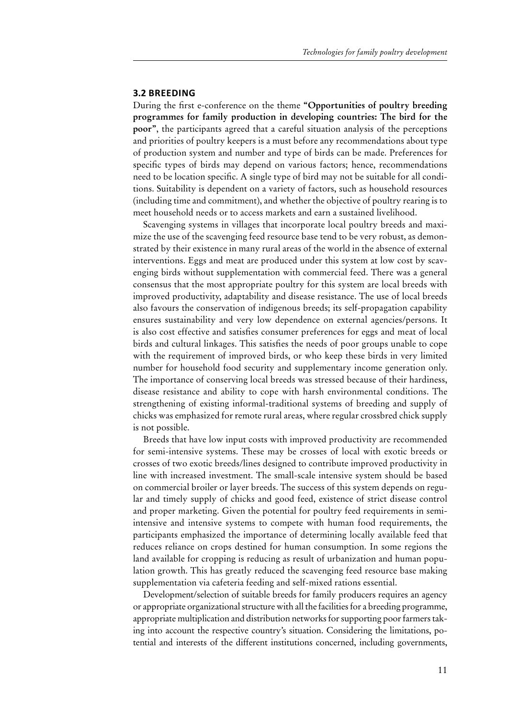#### **3.2 Breeding**

During the first e-conference on the theme **"Opportunities of poultry breeding programmes for family production in developing countries: The bird for the poor"**, the participants agreed that a careful situation analysis of the perceptions and priorities of poultry keepers is a must before any recommendations about type of production system and number and type of birds can be made. Preferences for specific types of birds may depend on various factors; hence, recommendations need to be location specific. A single type of bird may not be suitable for all conditions. Suitability is dependent on a variety of factors, such as household resources (including time and commitment), and whether the objective of poultry rearing is to meet household needs or to access markets and earn a sustained livelihood.

Scavenging systems in villages that incorporate local poultry breeds and maximize the use of the scavenging feed resource base tend to be very robust, as demonstrated by their existence in many rural areas of the world in the absence of external interventions. Eggs and meat are produced under this system at low cost by scavenging birds without supplementation with commercial feed. There was a general consensus that the most appropriate poultry for this system are local breeds with improved productivity, adaptability and disease resistance. The use of local breeds also favours the conservation of indigenous breeds; its self-propagation capability ensures sustainability and very low dependence on external agencies/persons. It is also cost effective and satisfies consumer preferences for eggs and meat of local birds and cultural linkages. This satisfies the needs of poor groups unable to cope with the requirement of improved birds, or who keep these birds in very limited number for household food security and supplementary income generation only. The importance of conserving local breeds was stressed because of their hardiness, disease resistance and ability to cope with harsh environmental conditions. The strengthening of existing informal-traditional systems of breeding and supply of chicks was emphasized for remote rural areas, where regular crossbred chick supply is not possible.

Breeds that have low input costs with improved productivity are recommended for semi-intensive systems. These may be crosses of local with exotic breeds or crosses of two exotic breeds/lines designed to contribute improved productivity in line with increased investment. The small-scale intensive system should be based on commercial broiler or layer breeds. The success of this system depends on regular and timely supply of chicks and good feed, existence of strict disease control and proper marketing. Given the potential for poultry feed requirements in semiintensive and intensive systems to compete with human food requirements, the participants emphasized the importance of determining locally available feed that reduces reliance on crops destined for human consumption. In some regions the land available for cropping is reducing as result of urbanization and human population growth. This has greatly reduced the scavenging feed resource base making supplementation via cafeteria feeding and self-mixed rations essential.

Development/selection of suitable breeds for family producers requires an agency or appropriate organizational structure with all the facilities for a breeding programme, appropriate multiplication and distribution networks for supporting poor farmers taking into account the respective country's situation. Considering the limitations, potential and interests of the different institutions concerned, including governments,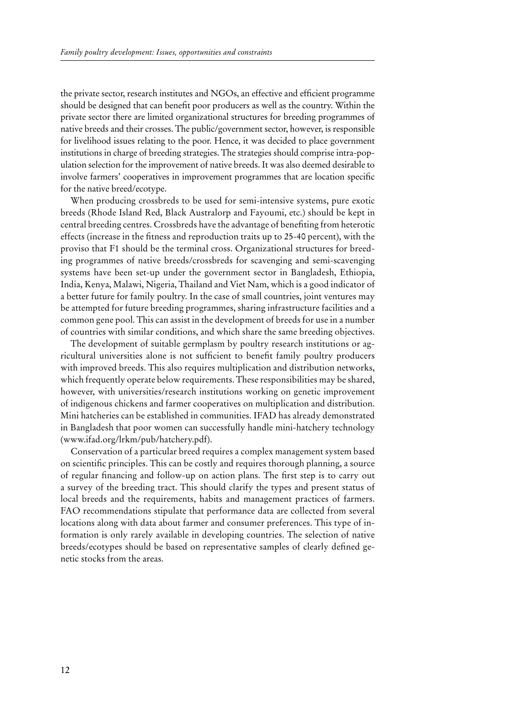the private sector, research institutes and NGOs, an effective and efficient programme should be designed that can benefit poor producers as well as the country. Within the private sector there are limited organizational structures for breeding programmes of native breeds and their crosses. The public/government sector, however, is responsible for livelihood issues relating to the poor. Hence, it was decided to place government institutions in charge of breeding strategies. The strategies should comprise intra-population selection for the improvement of native breeds. It was also deemed desirable to involve farmers' cooperatives in improvement programmes that are location specific for the native breed/ecotype.

When producing crossbreds to be used for semi-intensive systems, pure exotic breeds (Rhode Island Red, Black Australorp and Fayoumi, etc.) should be kept in central breeding centres. Crossbreds have the advantage of benefiting from heterotic effects (increase in the fitness and reproduction traits up to 25-40 percent), with the proviso that F1 should be the terminal cross. Organizational structures for breeding programmes of native breeds/crossbreds for scavenging and semi-scavenging systems have been set-up under the government sector in Bangladesh, Ethiopia, India, Kenya, Malawi, Nigeria, Thailand and Viet Nam, which is a good indicator of a better future for family poultry. In the case of small countries, joint ventures may be attempted for future breeding programmes, sharing infrastructure facilities and a common gene pool. This can assist in the development of breeds for use in a number of countries with similar conditions, and which share the same breeding objectives.

The development of suitable germplasm by poultry research institutions or agricultural universities alone is not sufficient to benefit family poultry producers with improved breeds. This also requires multiplication and distribution networks, which frequently operate below requirements. These responsibilities may be shared, however, with universities/research institutions working on genetic improvement of indigenous chickens and farmer cooperatives on multiplication and distribution. Mini hatcheries can be established in communities. IFAD has already demonstrated in Bangladesh that poor women can successfully handle mini-hatchery technology [\(www.ifad.org/lrkm/pub/hatchery.pdf\)](http://www.ifad.org/lrkm/pub/hatchery.pdf).

Conservation of a particular breed requires a complex management system based on scientific principles. This can be costly and requires thorough planning, a source of regular financing and follow-up on action plans. The first step is to carry out a survey of the breeding tract. This should clarify the types and present status of local breeds and the requirements, habits and management practices of farmers. FAO recommendations stipulate that performance data are collected from several locations along with data about farmer and consumer preferences. This type of information is only rarely available in developing countries. The selection of native breeds/ecotypes should be based on representative samples of clearly defined genetic stocks from the areas.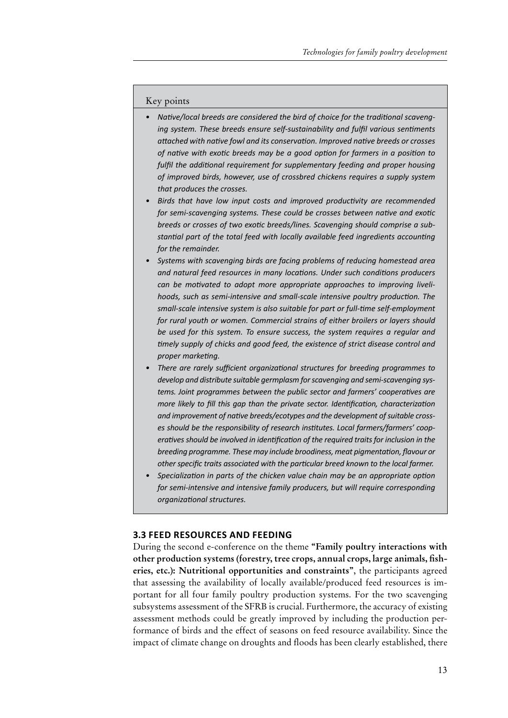#### Key points

- *• Native/local breeds are considered the bird of choice for the traditional scavenging system. These breeds ensure self-sustainability and fulfil various sentiments attached with native fowl and its conservation. Improved native breeds or crosses of native with exotic breeds may be a good option for farmers in a position to fulfil the additional requirement for supplementary feeding and proper housing of improved birds, however, use of crossbred chickens requires a supply system that produces the crosses.*
- *• Birds that have low input costs and improved productivity are recommended for semi-scavenging systems. These could be crosses between native and exotic breeds or crosses of two exotic breeds/lines. Scavenging should comprise a substantial part of the total feed with locally available feed ingredients accounting for the remainder.*
- *• Systems with scavenging birds are facing problems of reducing homestead area and natural feed resources in many locations. Under such conditions producers can be motivated to adopt more appropriate approaches to improving livelihoods, such as semi-intensive and small-scale intensive poultry production. The small-scale intensive system is also suitable for part or full-time self-employment for rural youth or women. Commercial strains of either broilers or layers should be used for this system. To ensure success, the system requires a regular and timely supply of chicks and good feed, the existence of strict disease control and proper marketing.*
- *• There are rarely sufficient organizational structures for breeding programmes to develop and distribute suitable germplasm forscavenging and semi-scavenging systems. Joint programmes between the public sector and farmers' cooperatives are more likely to fill this gap than the private sector. Identification, characterization and improvement of native breeds/ecotypes and the development ofsuitable crosses should be the responsibility of research institutes. Local farmers/farmers' cooperativesshould be involved in identification of the required traitsfor inclusion in the breeding programme. These may include broodiness, meat pigmentation, flavour or other specific traits associated with the particular breed known to the local farmer.*
- *• Specialization in parts of the chicken value chain may be an appropriate option for semi-intensive and intensive family producers, but will require corresponding organizational structures.*

#### **3.3 Feed resources and feeding**

During the second e-conference on the theme **"Family poultry interactions with other production systems (forestry, tree crops, annual crops, large animals, fisheries, etc.): Nutritional opportunities and constraints"**, the participants agreed that assessing the availability of locally available/produced feed resources is important for all four family poultry production systems. For the two scavenging subsystems assessment of the SFRB is crucial. Furthermore, the accuracy of existing assessment methods could be greatly improved by including the production performance of birds and the effect of seasons on feed resource availability. Since the impact of climate change on droughts and floods has been clearly established, there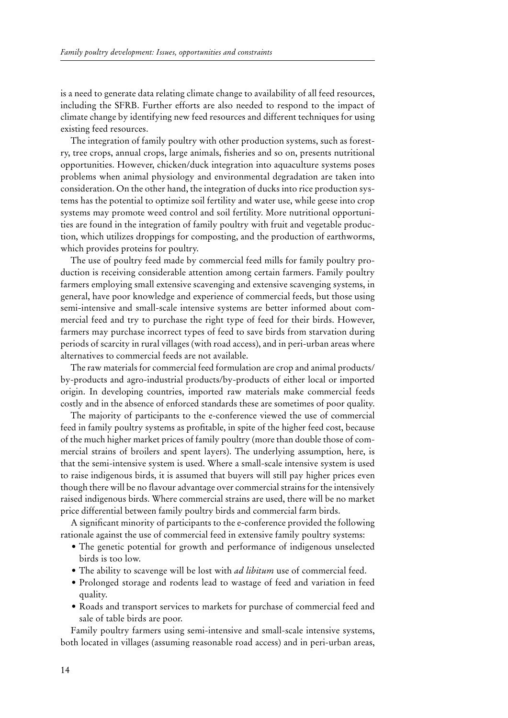is a need to generate data relating climate change to availability of all feed resources, including the SFRB. Further efforts are also needed to respond to the impact of climate change by identifying new feed resources and different techniques for using existing feed resources.

The integration of family poultry with other production systems, such as forestry, tree crops, annual crops, large animals, fisheries and so on, presents nutritional opportunities. However, chicken/duck integration into aquaculture systems poses problems when animal physiology and environmental degradation are taken into consideration. On the other hand, the integration of ducks into rice production systems has the potential to optimize soil fertility and water use, while geese into crop systems may promote weed control and soil fertility. More nutritional opportunities are found in the integration of family poultry with fruit and vegetable production, which utilizes droppings for composting, and the production of earthworms, which provides proteins for poultry.

The use of poultry feed made by commercial feed mills for family poultry production is receiving considerable attention among certain farmers. Family poultry farmers employing small extensive scavenging and extensive scavenging systems, in general, have poor knowledge and experience of commercial feeds, but those using semi-intensive and small-scale intensive systems are better informed about commercial feed and try to purchase the right type of feed for their birds. However, farmers may purchase incorrect types of feed to save birds from starvation during periods of scarcity in rural villages (with road access), and in peri-urban areas where alternatives to commercial feeds are not available.

The raw materials for commercial feed formulation are crop and animal products/ by-products and agro-industrial products/by-products of either local or imported origin. In developing countries, imported raw materials make commercial feeds costly and in the absence of enforced standards these are sometimes of poor quality.

The majority of participants to the e-conference viewed the use of commercial feed in family poultry systems as profitable, in spite of the higher feed cost, because of the much higher market prices of family poultry (more than double those of commercial strains of broilers and spent layers). The underlying assumption, here, is that the semi-intensive system is used. Where a small-scale intensive system is used to raise indigenous birds, it is assumed that buyers will still pay higher prices even though there will be no flavour advantage over commercial strains for the intensively raised indigenous birds. Where commercial strains are used, there will be no market price differential between family poultry birds and commercial farm birds.

A significant minority of participants to the e-conference provided the following rationale against the use of commercial feed in extensive family poultry systems:

- The genetic potential for growth and performance of indigenous unselected birds is too low.
- The ability to scavenge will be lost with *ad libitum* use of commercial feed.
- • Prolonged storage and rodents lead to wastage of feed and variation in feed quality.
- • Roads and transport services to markets for purchase of commercial feed and sale of table birds are poor.

Family poultry farmers using semi-intensive and small-scale intensive systems, both located in villages (assuming reasonable road access) and in peri-urban areas,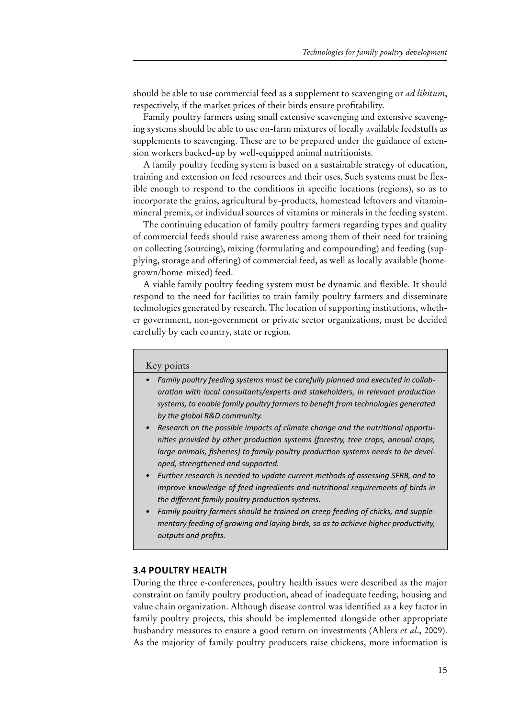should be able to use commercial feed as a supplement to scavenging or *ad libitum*, respectively, if the market prices of their birds ensure profitability.

Family poultry farmers using small extensive scavenging and extensive scavenging systems should be able to use on-farm mixtures of locally available feedstuffs as supplements to scavenging. These are to be prepared under the guidance of extension workers backed-up by well-equipped animal nutritionists.

A family poultry feeding system is based on a sustainable strategy of education, training and extension on feed resources and their uses. Such systems must be flexible enough to respond to the conditions in specific locations (regions), so as to incorporate the grains, agricultural by-products, homestead leftovers and vitaminmineral premix, or individual sources of vitamins or minerals in the feeding system.

The continuing education of family poultry farmers regarding types and quality of commercial feeds should raise awareness among them of their need for training on collecting (sourcing), mixing (formulating and compounding) and feeding (supplying, storage and offering) of commercial feed, as well as locally available (homegrown/home-mixed) feed.

A viable family poultry feeding system must be dynamic and flexible. It should respond to the need for facilities to train family poultry farmers and disseminate technologies generated by research. The location of supporting institutions, whether government, non-government or private sector organizations, must be decided carefully by each country, state or region.

#### Key points

- *• Family poultry feeding systems must be carefully planned and executed in collaboration with local consultants/experts and stakeholders, in relevant production systems, to enable family poultry farmers to benefit from technologies generated by the global R&D community.*
- *• Research on the possible impacts of climate change and the nutritional opportunities provided by other production systems (forestry, tree crops, annual crops, large animals, fisheries) to family poultry production systems needs to be developed, strengthened and supported.*
- *• Further research is needed to update current methods of assessing SFRB, and to improve knowledge of feed ingredients and nutritional requirements of birds in the different family poultry production systems.*
- *• Family poultry farmers should be trained on creep feeding of chicks, and supplementary feeding of growing and laying birds, so as to achieve higher productivity, outputs and profits.*

#### **3.4 Poultry health**

During the three e-conferences, poultry health issues were described as the major constraint on family poultry production, ahead of inadequate feeding, housing and value chain organization. Although disease control was identified as a key factor in family poultry projects, this should be implemented alongside other appropriate husbandry measures to ensure a good return on investments (Ahlers *et al*., 2009). As the majority of family poultry producers raise chickens, more information is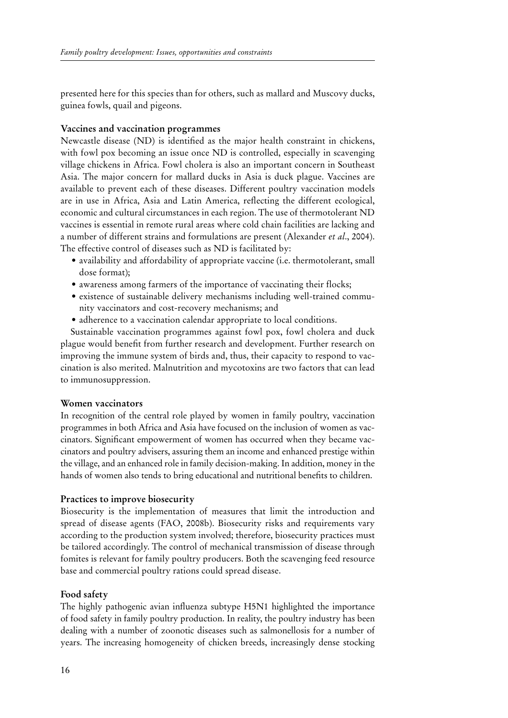presented here for this species than for others, such as mallard and Muscovy ducks, guinea fowls, quail and pigeons.

# **Vaccines and vaccination programmes**

Newcastle disease (ND) is identified as the major health constraint in chickens, with fowl pox becoming an issue once ND is controlled, especially in scavenging village chickens in Africa. Fowl cholera is also an important concern in Southeast Asia. The major concern for mallard ducks in Asia is duck plague. Vaccines are available to prevent each of these diseases. Different poultry vaccination models are in use in Africa, Asia and Latin America, reflecting the different ecological, economic and cultural circumstances in each region. The use of thermotolerant ND vaccines is essential in remote rural areas where cold chain facilities are lacking and a number of different strains and formulations are present (Alexander *et al*., 2004). The effective control of diseases such as ND is facilitated by:

- availability and affordability of appropriate vaccine (i.e. thermotolerant, small dose format);
- awareness among farmers of the importance of vaccinating their flocks;
- existence of sustainable delivery mechanisms including well-trained community vaccinators and cost-recovery mechanisms; and
- adherence to a vaccination calendar appropriate to local conditions.

Sustainable vaccination programmes against fowl pox, fowl cholera and duck plague would benefit from further research and development. Further research on improving the immune system of birds and, thus, their capacity to respond to vaccination is also merited. Malnutrition and mycotoxins are two factors that can lead to immunosuppression.

## **Women vaccinators**

In recognition of the central role played by women in family poultry, vaccination programmes in both Africa and Asia have focused on the inclusion of women as vaccinators. Significant empowerment of women has occurred when they became vaccinators and poultry advisers, assuring them an income and enhanced prestige within the village, and an enhanced role in family decision-making. In addition, money in the hands of women also tends to bring educational and nutritional benefits to children.

# **Practices to improve biosecurity**

Biosecurity is the implementation of measures that limit the introduction and spread of disease agents (FAO, 2008b). Biosecurity risks and requirements vary according to the production system involved; therefore, biosecurity practices must be tailored accordingly. The control of mechanical transmission of disease through fomites is relevant for family poultry producers. Both the scavenging feed resource base and commercial poultry rations could spread disease.

## **Food safety**

The highly pathogenic avian influenza subtype H5N1 highlighted the importance of food safety in family poultry production. In reality, the poultry industry has been dealing with a number of zoonotic diseases such as salmonellosis for a number of years. The increasing homogeneity of chicken breeds, increasingly dense stocking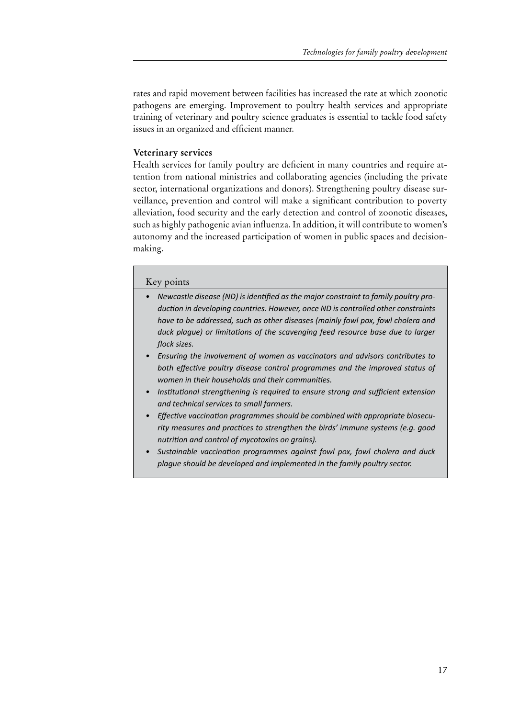rates and rapid movement between facilities has increased the rate at which zoonotic pathogens are emerging. Improvement to poultry health services and appropriate training of veterinary and poultry science graduates is essential to tackle food safety issues in an organized and efficient manner.

# **Veterinary services**

Health services for family poultry are deficient in many countries and require attention from national ministries and collaborating agencies (including the private sector, international organizations and donors). Strengthening poultry disease surveillance, prevention and control will make a significant contribution to poverty alleviation, food security and the early detection and control of zoonotic diseases, such as highly pathogenic avian influenza. In addition, it will contribute to women's autonomy and the increased participation of women in public spaces and decisionmaking.

## Key points

- *• Newcastle disease (ND) is identified as the major constraint to family poultry production in developing countries. However, once ND is controlled other constraints have to be addressed, such as other diseases (mainly fowl pox, fowl cholera and duck plague) or limitations of the scavenging feed resource base due to larger flock sizes.*
- *• Ensuring the involvement of women as vaccinators and advisors contributes to both effective poultry disease control programmes and the improved status of women in their households and their communities.*
- *• Institutional strengthening is required to ensure strong and sufficient extension and technical services to small farmers.*
- *• Effective vaccination programmes should be combined with appropriate biosecurity measures and practices to strengthen the birds' immune systems (e.g. good nutrition and control of mycotoxins on grains).*
- *• Sustainable vaccination programmes against fowl pox, fowl cholera and duck plague should be developed and implemented in the family poultry sector.*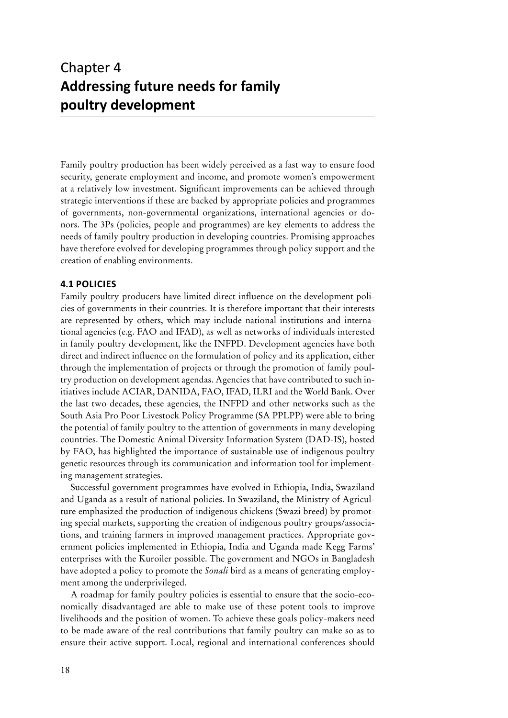# Chapter 4 **Addressing future needs for family poultry development**

Family poultry production has been widely perceived as a fast way to ensure food security, generate employment and income, and promote women's empowerment at a relatively low investment. Significant improvements can be achieved through strategic interventions if these are backed by appropriate policies and programmes of governments, non-governmental organizations, international agencies or donors. The 3Ps (policies, people and programmes) are key elements to address the needs of family poultry production in developing countries. Promising approaches have therefore evolved for developing programmes through policy support and the creation of enabling environments.

# **4.1 Policies**

Family poultry producers have limited direct influence on the development policies of governments in their countries. It is therefore important that their interests are represented by others, which may include national institutions and international agencies (e.g. FAO and IFAD), as well as networks of individuals interested in family poultry development, like the INFPD. Development agencies have both direct and indirect influence on the formulation of policy and its application, either through the implementation of projects or through the promotion of family poultry production on development agendas. Agencies that have contributed to such initiatives include ACIAR, DANIDA, FAO, IFAD, ILRI and the World Bank. Over the last two decades, these agencies, the INFPD and other networks such as the South Asia Pro Poor Livestock Policy Programme (SA PPLPP) were able to bring the potential of family poultry to the attention of governments in many developing countries. The Domestic Animal Diversity Information System (DAD-IS), hosted by FAO, has highlighted the importance of sustainable use of indigenous poultry genetic resources through its communication and information tool for implementing management strategies.

Successful government programmes have evolved in Ethiopia, India, Swaziland and Uganda as a result of national policies. In Swaziland, the Ministry of Agriculture emphasized the production of indigenous chickens (Swazi breed) by promoting special markets, supporting the creation of indigenous poultry groups/associations, and training farmers in improved management practices. Appropriate government policies implemented in Ethiopia, India and Uganda made Kegg Farms' enterprises with the Kuroiler possible. The government and NGOs in Bangladesh have adopted a policy to promote the *Sonali* bird as a means of generating employment among the underprivileged.

A roadmap for family poultry policies is essential to ensure that the socio-economically disadvantaged are able to make use of these potent tools to improve livelihoods and the position of women. To achieve these goals policy-makers need to be made aware of the real contributions that family poultry can make so as to ensure their active support. Local, regional and international conferences should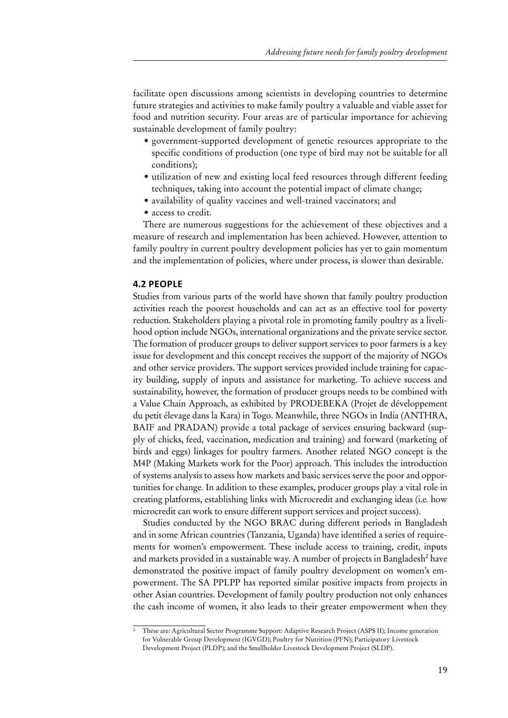facilitate open discussions among scientists in developing countries to determine future strategies and activities to make family poultry a valuable and viable asset for food and nutrition security. Four areas are of particular importance for achieving sustainable development of family poultry:

- government-supported development of genetic resources appropriate to the specific conditions of production (one type of bird may not be suitable for all conditions);
- utilization of new and existing local feed resources through different feeding techniques, taking into account the potential impact of climate change;
- • availability of quality vaccines and well-trained vaccinators; and
- access to credit.

There are numerous suggestions for the achievement of these objectives and a measure of research and implementation has been achieved. However, attention to family poultry in current poultry development policies has yet to gain momentum and the implementation of policies, where under process, is slower than desirable.

## **4.2 People**

Studies from various parts of the world have shown that family poultry production activities reach the poorest households and can act as an effective tool for poverty reduction. Stakeholders playing a pivotal role in promoting family poultry as a livelihood option include NGOs, international organizations and the private service sector. The formation of producer groups to deliver support services to poor farmers is a key issue for development and this concept receives the support of the majority of NGOs and other service providers. The support services provided include training for capacity building, supply of inputs and assistance for marketing. To achieve success and sustainability, however, the formation of producer groups needs to be combined with a Value Chain Approach, as exhibited by PRODEBEKA (Projet de développement du petit élevage dans la Kara) in Togo. Meanwhile, three NGOs in India (ANTHRA, BAIF and PRADAN) provide a total package of services ensuring backward (supply of chicks, feed, vaccination, medication and training) and forward (marketing of birds and eggs) linkages for poultry farmers. Another related NGO concept is the M4P (Making Markets work for the Poor) approach. This includes the introduction of systems analysis to assess how markets and basic services serve the poor and opportunities for change. In addition to these examples, producer groups play a vital role in creating platforms, establishing links with Microcredit and exchanging ideas (i.e*.* how microcredit can work to ensure different support services and project success).

Studies conducted by the NGO BRAC during different periods in Bangladesh and in some African countries (Tanzania, Uganda) have identified a series of requirements for women's empowerment. These include access to training, credit, inputs and markets provided in a sustainable way. A number of projects in Bangladesh<sup>2</sup> have demonstrated the positive impact of family poultry development on women's empowerment. The SA PPLPP has reported similar positive impacts from projects in other Asian countries. Development of family poultry production not only enhances the cash income of women, it also leads to their greater empowerment when they

 $\frac{1}{2}$  These are: Agricultural Sector Programme Support: Adaptive Research Project (ASPS II); Income generation for Vulnerable Group Development (IGVGD); Poultry for Nutrition (PFN); Participatory Livestock Development Project (PLDP); and the Smallholder Livestock Development Project (SLDP).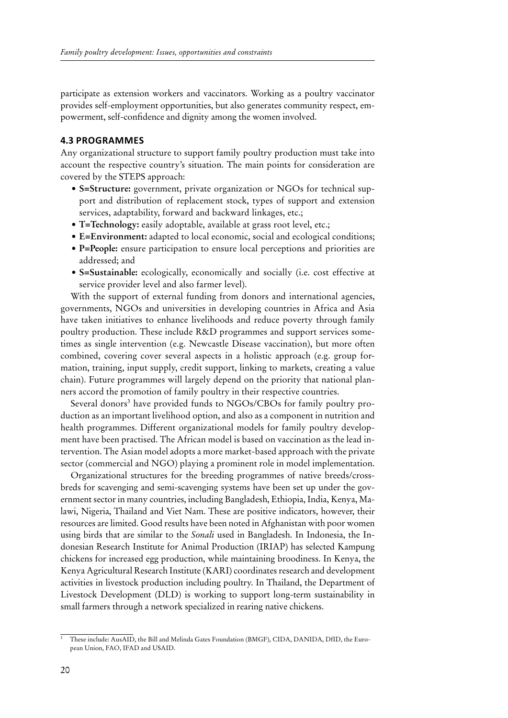participate as extension workers and vaccinators. Working as a poultry vaccinator provides self-employment opportunities, but also generates community respect, empowerment, self-confidence and dignity among the women involved.

## **4.3 Programmes**

Any organizational structure to support family poultry production must take into account the respective country's situation. The main points for consideration are covered by the STEPS approach:

- **• S=Structure:** government, private organization or NGOs for technical support and distribution of replacement stock, types of support and extension services, adaptability, forward and backward linkages, etc.;
- **• T=Technology:** easily adoptable, available at grass root level, etc.;
- **• E=Environment:** adapted to local economic, social and ecological conditions;
- **• P=People:** ensure participation to ensure local perceptions and priorities are addressed; and
- **• S=Sustainable:** ecologically, economically and socially (i.e. cost effective at service provider level and also farmer level).

With the support of external funding from donors and international agencies, governments, NGOs and universities in developing countries in Africa and Asia have taken initiatives to enhance livelihoods and reduce poverty through family poultry production. These include R&D programmes and support services sometimes as single intervention (e.g. Newcastle Disease vaccination), but more often combined, covering cover several aspects in a holistic approach (e.g. group formation, training, input supply, credit support, linking to markets, creating a value chain). Future programmes will largely depend on the priority that national planners accord the promotion of family poultry in their respective countries.

Several donors<sup>3</sup> have provided funds to NGOs/CBOs for family poultry production as an important livelihood option, and also as a component in nutrition and health programmes. Different organizational models for family poultry development have been practised. The African model is based on vaccination as the lead intervention. The Asian model adopts a more market-based approach with the private sector (commercial and NGO) playing a prominent role in model implementation.

Organizational structures for the breeding programmes of native breeds/crossbreds for scavenging and semi-scavenging systems have been set up under the government sector in many countries, including Bangladesh, Ethiopia, India, Kenya, Malawi, Nigeria, Thailand and Viet Nam. These are positive indicators, however, their resources are limited. Good results have been noted in Afghanistan with poor women using birds that are similar to the *Sonali* used in Bangladesh. In Indonesia, the Indonesian Research Institute for Animal Production (IRIAP) has selected Kampung chickens for increased egg production, while maintaining broodiness. In Kenya, the Kenya Agricultural Research Institute (KARI) coordinates research and development activities in livestock production including poultry. In Thailand, the Department of Livestock Development (DLD) is working to support long-term sustainability in small farmers through a network specialized in rearing native chickens.

<sup>&</sup>lt;sup>3</sup> These include: AusAID, the Bill and Melinda Gates Foundation (BMGF), CIDA, DANIDA, DfID, the European Union, FAO, IFAD and USAID.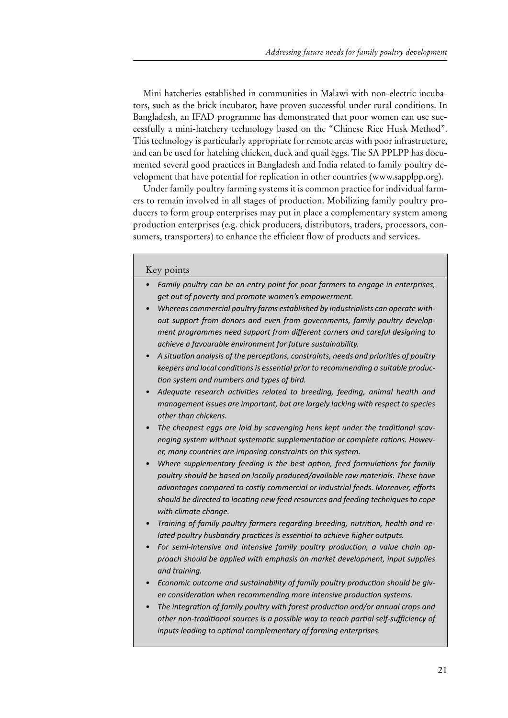Mini hatcheries established in communities in Malawi with non-electric incubators, such as the brick incubator, have proven successful under rural conditions. In Bangladesh, an IFAD programme has demonstrated that poor women can use successfully a mini-hatchery technology based on the "Chinese Rice Husk Method". This technology is particularly appropriate for remote areas with poor infrastructure, and can be used for hatching chicken, duck and quail eggs. The SA PPLPP has documented several good practices in Bangladesh and India related to family poultry development that have potential for replication in other countries [\(www.sapplpp.org\)](http://www.sapplpp.org).

Under family poultry farming systems it is common practice for individual farmers to remain involved in all stages of production. Mobilizing family poultry producers to form group enterprises may put in place a complementary system among production enterprises (e.g. chick producers, distributors, traders, processors, consumers, transporters) to enhance the efficient flow of products and services.

# Key points

- *• Family poultry can be an entry point for poor farmers to engage in enterprises, get out of poverty and promote women's empowerment.*
- *• Whereas commercial poultry farms established by industrialists can operate without support from donors and even from governments, family poultry development programmes need support from different corners and careful designing to achieve a favourable environment for future sustainability.*
- *• A situation analysis of the perceptions, constraints, needs and priorities of poultry keepers and local conditionsis essential prior to recommending a suitable production system and numbers and types of bird.*
- *• Adequate research activities related to breeding, feeding, animal health and management issues are important, but are largely lacking with respect to species other than chickens.*
- *• The cheapest eggs are laid by scavenging hens kept under the traditional scavenging system without systematic supplementation or complete rations. However, many countries are imposing constraints on this system.*
- *• Where supplementary feeding is the best option, feed formulations for family poultry should be based on locally produced/available raw materials. These have advantages compared to costly commercial or industrial feeds. Moreover, efforts should be directed to locating new feed resources and feeding techniques to cope with climate change.*
- *• Training of family poultry farmers regarding breeding, nutrition, health and related poultry husbandry practices is essential to achieve higher outputs.*
- *• For semi-intensive and intensive family poultry production, a value chain approach should be applied with emphasis on market development, input supplies and training.*
- *• Economic outcome and sustainability of family poultry production should be given consideration when recommending more intensive production systems.*
- *• The integration of family poultry with forest production and/or annual crops and other non-traditional sources is a possible way to reach partial self-sufficiency of inputs leading to optimal complementary of farming enterprises.*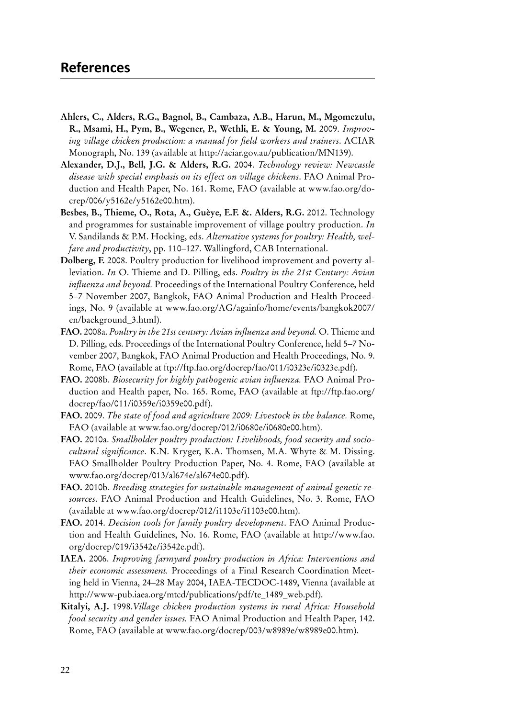- **Ahlers, C., Alders, R.G., Bagnol, B., Cambaza, A.B., Harun, M., Mgomezulu, R., Msami, H., Pym, B., Wegener, P., Wethli, E. & Young, M.** 2009. *Improving village chicken production: a manual for field workers and trainers*. ACIAR Monograph, No. 139 (available at<http://aciar.gov.au/publication/MN139>).
- **Alexander, D.J., Bell, J.G. & Alders, R.G.** 2004. *Technology review: Newcastle disease with special emphasis on its effect on village chickens*. FAO Animal Production and Health Paper, No. 161. Rome, FAO (available at [www.fao.org/do](http://www.fao.org/docrep/006/y5162e/y5162e00.htm)[crep/006/y5162e/y5162e00.htm](http://www.fao.org/docrep/006/y5162e/y5162e00.htm)).
- **Besbes, B., Thieme, O., Rota, A., Guèye, E.F. &. Alders, R.G.** 2012. Technology and programmes for sustainable improvement of village poultry production. *In*  V. Sandilands & P.M. Hocking, eds. *Alternative systems for poultry: Health, welfare and productivity*, pp. 110–127. Wallingford, CAB International.
- **Dolberg, F.** 2008. Poultry production for livelihood improvement and poverty alleviation. *In* O. Thieme and D. Pilling, eds. *Poultry in the 21st Century: Avian influenza and beyond.* Proceedings of the International Poultry Conference, held 5–7 November 2007, Bangkok, FAO Animal Production and Health Proceedings, No. 9 (available at [www.fao.org/AG/againfo/home/events/bangkok2007/](http://www.fao.org/AG/againfo/home/events/bangkok2007/en/background_3.html) [en/background\\_3.html](http://www.fao.org/AG/againfo/home/events/bangkok2007/en/background_3.html)).
- **FAO.** 2008a. *Poultry in the 21st century: Avian influenza and beyond.* O. Thieme and D. Pilling, eds. Proceedings of the International Poultry Conference, held 5–7 November 2007, Bangkok, FAO Animal Production and Health Proceedings, No. 9. Rome, FAO (available at <ftp://ftp.fao.org/docrep/fao/011/i0323e/i0323e.pdf>).
- **FAO.** 2008b. *Biosecurity for highly pathogenic avian influenza.* FAO Animal Production and Health paper, No. 165. Rome, FAO (available at [ftp://ftp.fao.org/](ftp://ftp.fao.org/docrep/fao/011/i0359e/i0359e00.pdf) [docrep/fao/011/i0359e/i0359e00.pdf](ftp://ftp.fao.org/docrep/fao/011/i0359e/i0359e00.pdf)).
- **FAO.** 2009. *The state of food and agriculture 2009: Livestock in the balance.* Rome, FAO (available at [www.fao.org/docrep/012/i0680e/i0680e00.htm\)](http://http://www.fao.org/docrep/012/i0680e/i0680e00.htm).
- **FAO.** 2010a. *Smallholder poultry production: Livelihoods, food security and sociocultural significance*. K.N. Kryger, K.A. Thomsen, M.A. Whyte & M. Dissing. FAO Smallholder Poultry Production Paper, No. 4. Rome, FAO (available at [www.fao.org/docrep/013/al674e/al674e00.pdf](http://http://www.fao.org/docrep/013/al674e/al674e00.pdf)).
- **FAO.** 2010b. *Breeding strategies for sustainable management of animal genetic resources*. FAO Animal Production and Health Guidelines, No. 3. Rome, FAO (available at [www.fao.org/docrep/012/i1103e/i1103e00.htm\)](http://http://www.fao.org/docrep/012/i1103e/i1103e00.htm).
- **FAO.** 2014. *Decision tools for family poultry development*. FAO Animal Production and Health Guidelines, No. 16. Rome, FAO (available at [http://www.fao.](http://www.fao.org/docrep/019/i3542e/i3542e.pdf) [org/docrep/019/i3542e/i3542e.pdf](http://www.fao.org/docrep/019/i3542e/i3542e.pdf)).
- **IAEA.** 2006. *Improving farmyard poultry production in Africa: Interventions and their economic assessment.* Proceedings of a Final Research Coordination Meeting held in Vienna, 24–28 May 2004, IAEA-TECDOC-1489, Vienna (available at [http://www-pub.iaea.org/mtcd/publications/pdf/te\\_1489\\_web.pdf\)](http://www-pub.iaea.org/mtcd/publications/pdf/te_1489_web.pdf).
- **Kitalyi, A.J.** 1998.*Village chicken production systems in rural Africa: Household food security and gender issues.* FAO Animal Production and Health Paper, 142. Rome, FAO (available at [www.fao.org/docrep/003/w8989e/w8989e00.htm](http://http://www.fao.org/docrep/003/w8989e/w8989e00.htm)).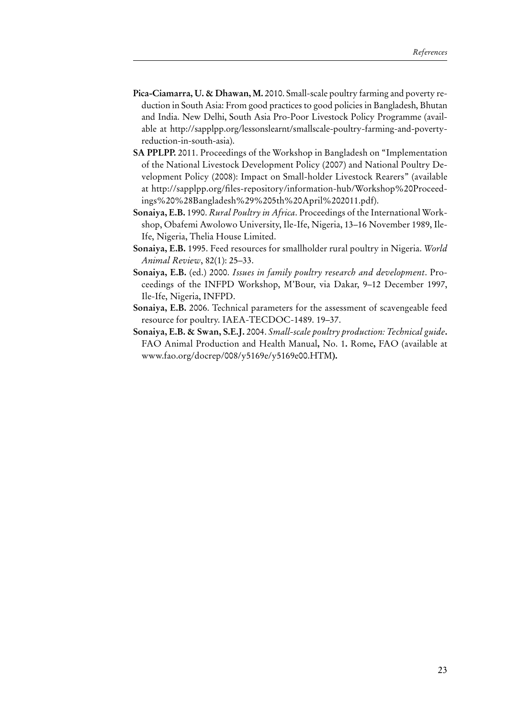- **Pica-Ciamarra, U. & Dhawan, M.** 2010. Small-scale poultry farming and poverty reduction in South Asia: From good practices to good policies in Bangladesh, Bhutan and India. New Delhi, South Asia Pro-Poor Livestock Policy Programme (available at [http://sapplpp.org/lessonslearnt/smallscale-poultry-farming-and-poverty](http://sapplpp.org/lessonslearnt/smallscale-poultry-farming-and-poverty-reduction-in-south-asia)[reduction-in-south-asia](http://sapplpp.org/lessonslearnt/smallscale-poultry-farming-and-poverty-reduction-in-south-asia)).
- **SA PPLPP.** 2011. Proceedings of the Workshop in Bangladesh on "Implementation of the National Livestock Development Policy (2007) and National Poultry Development Policy (2008): Impact on Small-holder Livestock Rearers" (available at [http://sapplpp.org/files-repository/information-hub/Workshop%20Proceed](http://sapplpp.org/files-repository/information-hub/Workshop%20Proceedings%20%28Bangladesh%29%205th%20April%202011.pdf)[ings%20%28Bangladesh%29%205th%20April%202011.pdf](http://sapplpp.org/files-repository/information-hub/Workshop%20Proceedings%20%28Bangladesh%29%205th%20April%202011.pdf)).
- **Sonaiya, E.B.** 1990. *Rural Poultry in Africa*. Proceedings of the International Workshop, Obafemi Awolowo University, Ile-Ife, Nigeria, 13–16 November 1989, Ile-Ife, Nigeria, Thelia House Limited.
- **Sonaiya, E.B.** 1995. Feed resources for smallholder rural poultry in Nigeria. *World Animal Review*, 82(1): 25–33.
- **Sonaiya, E.B.** (ed.) 2000. *Issues in family poultry research and development*. Proceedings of the INFPD Workshop, M'Bour, via Dakar, 9–12 December 1997, Ile-Ife, Nigeria, INFPD.
- **Sonaiya, E.B.** 2006. Technical parameters for the assessment of scavengeable feed resource for poultry. IAEA-TECDOC-1489. 19–37.
- **Sonaiya, E.B. & Swan, S.E.J.** 2004. *Small-scale poultry production: Technical guide***.**  FAO Animal Production and Health Manual**,** No. 1**.** Rome**,** FAO (available at [www.fao.org/docrep/008/y5169e/y5169e00.HTM](http://http://www.fao.org/docrep/008/y5169e/y5169e00.HTM)**).**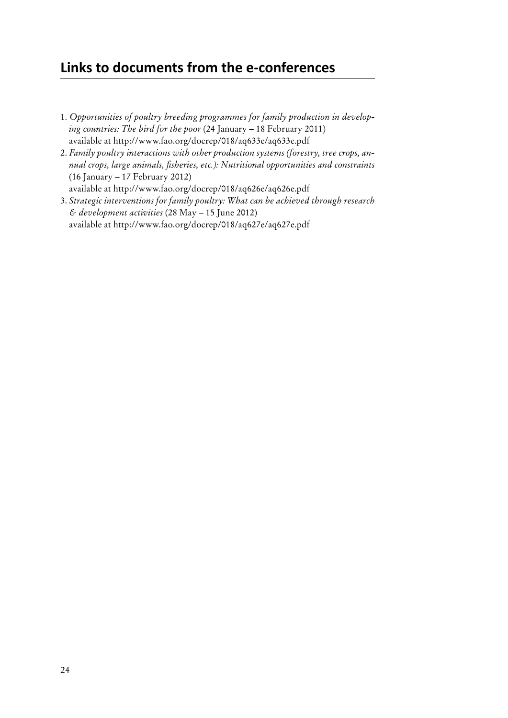# **Links to documents from the e-conferences**

- 1. *Opportunities of poultry breeding programmes for family production in developing countries: The bird for the poor* (24 January – 18 February 2011) available at <http://www.fao.org/docrep/018/aq633e/aq633e.pdf>
- 2. *Family poultry interactions with other production systems (forestry, tree crops, annual crops, large animals, fisheries, etc.): Nutritional opportunities and constraints* (16 January – 17 February 2012) available at <http://www.fao.org/docrep/018/aq626e/aq626e.pdf>
- 3. *Strategic interventions for family poultry: What can be achieved through research & development activities* (28 May – 15 June 2012) available at <http://www.fao.org/docrep/018/aq627e/aq627e.pdf>